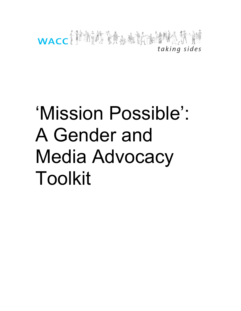

# 'Mission Possible': A Gender and Media Advocacy Toolkit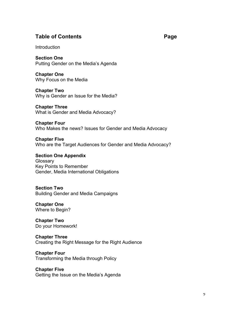# **Table of Contents Page**

**Introduction** 

**Section One** Putting Gender on the Media's Agenda

**Chapter One** Why Focus on the Media

**Chapter Two** Why is Gender an Issue for the Media?

**Chapter Three** What is Gender and Media Advocacy?

**Chapter Four** Who Makes the news? Issues for Gender and Media Advocacy

**Chapter Five** Who are the Target Audiences for Gender and Media Advocacy?

**Section One Appendix Glossary** Key Points to Remember Gender, Media International Obligations

# **Section Two**

Building Gender and Media Campaigns

**Chapter One** Where to Begin?

**Chapter Two** Do your Homework!

# **Chapter Three**

Creating the Right Message for the Right Audience

# **Chapter Four**

Transforming the Media through Policy

# **Chapter Five**

Getting the Issue on the Media's Agenda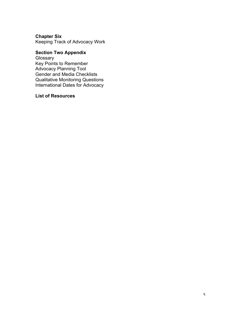# **Chapter Six**

Keeping Track of Advocacy Work

# **Section Two Appendix**

Glossary Key Points to Remember Advocacy Planning Tool Gender and Media Checklists Qualitative Monitoring Questions International Dates for Advocacy

# **List of Resources**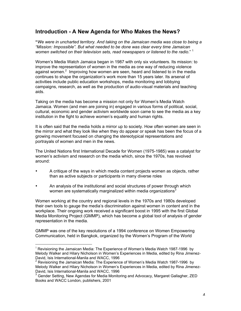# **Introduction - A New Agenda for Who Makes the News?**

**"***We were in uncharted territory. And taking on the Jamaican media was close to being a "Mission: Impossible". But what needed to be done was clear every time Jamaican women switched on their television sets, read newspapers or listened to the radio*." 1

Women's Media Watch Jamaica began in 1987 with only six volunteers. Its mission: to improve the representation of women in the media as one way of reducing violence against women.<sup>2</sup> Improving how women are seen, heard and listened to in the media continues to shape the organization's work more than 15 years later. Its arsenal of activities include public education workshops, media monitoring and lobbying campaigns, research, as well as the production of audio-visual materials and teaching aids.

Taking on the media has become a mission not only for Women's Media Watch Jamaica. Women (and men are joining in) engaged in various forms of political, social, cultural, economic and gender activism worldwide soon came to see the media as a key institution in the fight to achieve women's equality and human rights.

It is often said that the media holds a mirror up to society. How often women are seen in the mirror and what they look like when they do appear or speak has been the focus of a growing movement focused on changing the stereotypical representations and portrayals of women and men in the news.

The United Nations first International Decade for Women (1975-1985) was a catalyst for women's activism and research on the media which, since the 1970s, has revolved around:

- A critique of the ways in which media content projects women as objects, rather than as active subjects or participants in many diverse roles
- An analysis of the institutional and social structures of power through which women are systematically marginalized within media organizations<sup>3</sup>

Women working at the country and regional levels in the 1970s and 1980s developed their own tools to gauge the media's discrimination against women in content and in the workplace. Their ongoing work received a significant boost in 1995 with the first Global Media Monitoring Project (GMMP), which has become a global tool of analysis of gender representation in the media.

GMMP was one of the key resolutions of a 1994 conference on Women Empowering Communication, held in Bangkok, organized by the Women's Program of the World

<sup>&</sup>lt;sup>1</sup> Revisioning the Jamaican Media: The Experience of Women's Media Watch 1987-1996 by Melody Walker and Hilary Nicholson in Women's Experiences in Media, edited by Rina Jimenez-David, Isis International-Manila and WACC, 1996

 $2$  Revisioning the Jamaican Media: The Experience of Women's Media Watch 1987-1996 by Melody Walker and Hilary Nicholson in Women's Experiences in Media, edited by Rina Jimenez-David, Isis International-Manila and WACC, 1996

 $3$  Gender Setting, New Agendas for Media Monitoring and Advocacy, Margaret Gallagher, ZED Books and WACC London, publishers, 2001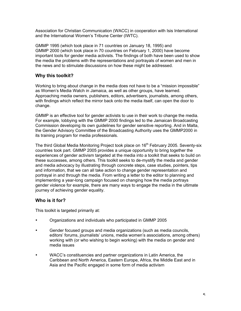Association for Christian Communication (WACC) in cooperation with Isis International and the International Women's Tribune Center (IWTC).

GMMP 1995 (which took place in 71 countries on January 18, 1995) and GMMP 2000 (which took place in 70 countries on February 1, 2000) have become important tools for gender media activists. The findings of both have been used to show the media the problems with the representations and portrayals of women and men in the news and to stimulate discussions on how these might be addressed.

# **Why this toolkit?**

Working to bring about change in the media does not have to be a "mission impossible" as Women's Media Watch in Jamaica, as well as other groups, have learned. Approaching media owners, publishers, editors, advertisers, journalists, among others, with findings which reflect the mirror back onto the media itself, can open the door to change.

GMMP is an effective tool for gender activists to use in their work to change the media. For example, lobbying with the GMMP 2000 findings led to the Jamaican Broadcasting Commission developing its own guidelines for gender sensitive reporting. And in Malta, the Gender Advisory Committee of the Broadcasting Authority uses the GMMP2000 in its training program for media professionals.

The third Global Media Monitoring Project took place on 16<sup>th</sup> February 2005. Seventy-six countries took part. GMMP 2005 provides a unique opportunity to bring together the experiences of gender activism targeted at the media into a toolkit that seeks to build on these successes, among others. This toolkit seeks to de-mystify the media and gender and media advocacy by illustrating through concrete steps, case studies, pointers, tips and information, that we can all take action to change gender representation and portrayal in and through the media. From writing a letter to the editor to planning and implementing a year-long campaign focused on changing how the media portrays gender violence for example, there are many ways to engage the media in the ultimate journey of achieving gender equality.

# **Who is it for?**

This toolkit is targeted primarily at:

- Organizations and individuals who participated in GMMP 2005
- Gender focused groups and media organizations (such as media councils, editors' forums, journalists' unions, media women's associations, among others) working with (or who wishing to begin working) with the media on gender and media issues
- WACC's constituencies and partner organizations in Latin America, the Caribbean and North America, Eastern Europe, Africa, the Middle East and in Asia and the Pacific engaged in some form of media activism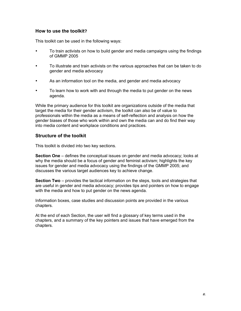# **How to use the toolkit?**

This toolkit can be used in the following ways:

- To train activists on how to build gender and media campaigns using the findings of GMMP 2005
- To illustrate and train activists on the various approaches that can be taken to do gender and media advocacy
- As an information tool on the media, and gender and media advocacy
- To learn how to work with and through the media to put gender on the news agenda.

While the primary audience for this toolkit are organizations outside of the media that target the media for their gender activism, the toolkit can also be of value to professionals within the media as a means of self-reflection and analysis on how the gender biases of those who work within and own the media can and do find their way into media content and workplace conditions and practices.

# **Structure of the toolkit**

This toolkit is divided into two key sections.

**Section One** – defines the conceptual issues on gender and media advocacy; looks at why the media should be a focus of gender and feminist activism; highlights the key issues for gender and media advocacy using the findings of the GMMP 2005; and discusses the various target audiences key to achieve change.

**Section Two** – provides the tactical information on the steps, tools and strategies that are useful in gender and media advocacy; provides tips and pointers on how to engage with the media and how to put gender on the news agenda.

Information boxes, case studies and discussion points are provided in the various chapters.

At the end of each Section, the user will find a glossary of key terms used in the chapters, and a summary of the key pointers and issues that have emerged from the chapters.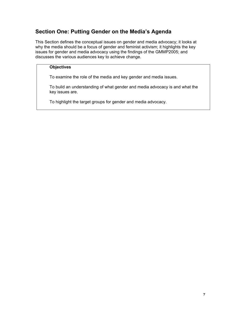# **Section One: Putting Gender on the Media's Agenda**

This Section defines the conceptual issues on gender and media advocacy; it looks at why the media should be a focus of gender and feminist activism; it highlights the key issues for gender and media advocacy using the findings of the GMMP2005; and discusses the various audiences key to achieve change.

## **Objectives**

To examine the role of the media and key gender and media issues.

To build an understanding of what gender and media advocacy is and what the key issues are.

To highlight the target groups for gender and media advocacy.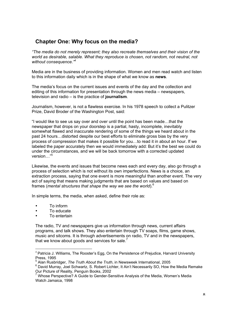# **Chapter One: Why focus on the media?**

*"The media do not merely represent; they also recreate themselves and their vision of the world as desirable, salable. What they reproduce is chosen, not random, not neutral, not without consequence."4*

Media are in the business of providing information. Women and men read watch and listen to this information daily which is in the shape of what we know as **news**.

The media's focus on the current issues and events of the day and the collection and editing of this information for presentation through the news media – newspapers, television and radio – is the practice of **journalism**.

Journalism, however, is not a flawless exercise. In his 1978 speech to collect a Pulitzer Prize, David Broder of the Washington Post, said:

"I would like to see us say over and over until the point has been made…that the newspaper that drops on your doorstep is a partial, hasty, incomplete, inevitably somewhat flawed and inaccurate rendering of some of the things we heard about in the past 24 hours…distorted despite our best efforts to eliminate gross bias by the very process of compression that makes it possible for you…to read it in about an hour. If we labeled the paper accurately then we would immediately add: But it's the best we could do under the circumstances, and we will be back tomorrow with a corrected updated version…"5

Likewise, the events and issues that become news each and every day, also go through a process of selection which is not without its own imperfections. News is a choice, an extraction process, saying that one event is more meaningful than another event. The very act of saying that means making judgments that are based on values and based on frames (*mental structures that shape the way we see the world*).6

In simple terms, the media, when asked, define their role as:

- To inform
- To educate
- To entertain

The radio, TV and newspapers give us information through news, current affairs programs, and talk shows. They also entertain through TV soaps, films, game shows, music and sitcoms. It is through advertisements on radio, TV and in the newspapers, that we know about goods and services for sale.<sup>7</sup>

<sup>&</sup>lt;sup>4</sup> Patricia J. Williams, The Rooster's Egg, On the Persistence of Prejudice, Harvard University Press, 1995

<sup>5</sup> Alan Rusbridger, *The Truth About the Truth*, in Newsweek International, 2005

<sup>&</sup>lt;sup>6</sup> David Murray, Joel Schwartz, S. Robert Lichter, It Ain't Necessarily SO, How the Media Remake

Our Picture of Reality, Penguin Books, 2002<br><sup>7</sup> Whose Perspective? A Guide to Gender-Sensitive Analysis of the Media, Women's Media Watch Jamaica, 1998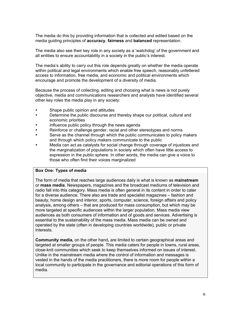The media do this by providing information that is collected and edited based on the media guiding principles of **accuracy**, **fairness** and **balanced** representation.

The media also see their key role in any society as a 'watchdog' of the government and all entities to ensure accountability in a society in the public's interest.

The media's ability to carry out this role depends greatly on whether the media operate within political and legal environments which enable free speech, reasonably unfettered access to information, free media, and economic and political environments which encourage and promote the development of a diversity of media.

Because the process of collecting, editing and choosing what is news is not purely objective, media and communications researchers and analysts have identified several other key roles the media play in any society:

- Shape public opinion and attitudes
- Determine the public discourse and thereby shape our political, cultural and economic priorities
- Influence public policy through the news agenda
- Reinforce or challenge gender, racial and other stereotypes and norms
- Serve as the channel through which the public communicates to policy makers and through which policy makers communicate to the public
- Media can act as catalysts for social change through coverage of injustices and the marginalization of populations in society which often have little access to expression in the public sphere. In other words, the media can give a voice to those who often find their voices marginalized

## **Box One: Types of media**

The form of media that reaches large audiences daily is what is known as **mainstream** or **mass media**. Newspapers, magazines and the broadcast mediums of television and radio fall into this category. Mass media is often general in its content in order to cater for a diverse audience. There also are trade and specialist magazines – fashion and beauty, home design and interior, sports, computer, science, foreign affairs and policy analysis, among others – that are produced for mass consumption, but which may be more targeted at specific audiences within the larger population. Mass media view audiences as both consumers of information and of goods and services. Advertising is essential to the sustainability of the mass media. Mass media can be owned and operated by the state (often in developing countries worldwide), public or private interests.

**Community media,** on the other hand**,** are limited to certain geographical areas and targeted at smaller groups of people. This media caters for people in towns, rural areas, close-knit communities which seek to keep themselves informed on issues of interest. Unlike in the mainstream media where the control of information and messages is vested in the hands of the media practitioners, there is more room for people within a local community to participate in the governance and editorial operations of this form of media.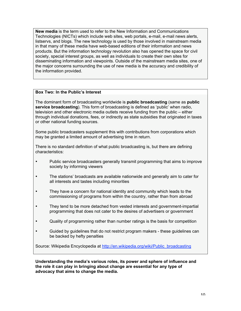**New media** is the term used to refer to the New Information and Communications Technologies (NICTs) which include web sites, web portals, e-mail, e-mail news alerts, listservs, and blogs. The new technology is used by those involved in mainstream media in that many of these media have web-based editions of their information and news products. But the information technology revolution also has opened the space for civil society, special interest groups, as well as individuals to create their own sites for disseminating information and viewpoints. Outside of the mainstream media sites, one of the major concerns surrounding the use of new media is the accuracy and credibility of the information provided.

### **Box Two: In the Public's Interest**

The dominant form of broadcasting worldwide is **public broadcasting** (same as **public service broadcasting**). This form of broadcasting is defined as 'public' when radio, television and other electronic media outlets receive funding from the public – either through individual donations, fees, or indirectly as state subsidies that originated in taxes or other national funding sources.

Some public broadcasters supplement this with contributions from corporations which may be granted a limited amount of advertising time in return.

There is no standard definition of what public broadcasting is, but there are defining characteristics:

- Public service broadcasters generally transmit programming that aims to improve society by informing viewers
- The stations' broadcasts are available nationwide and generally aim to cater for all interests and tastes including minorities
- They have a concern for national identity and community which leads to the commissioning of programs from within the country, rather than from abroad
- They tend to be more detached from vested interests and government-impartial programming that does not cater to the desires of advertisers or government
- Quality of programming rather than number ratings is the basis for competition
- Guided by guidelines that do not restrict program makers these guidelines can be backed by hefty penalties

Source: Wikipedia Encyclopedia at http://en.wikipedia.org/wiki/Public\_broadcasting

**Understanding the media's various roles, its power and sphere of influence and the role it can play in bringing about change are essential for any type of advocacy that aims to change the media.**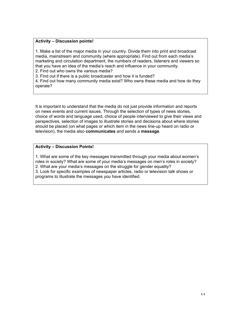### **Activity – Discussion points!**

1. Make a list of the major media in your country. Divide them into print and broadcast media, mainstream and community (where appropriate). Find out from each media's marketing and circulation department, the numbers of readers, listeners and viewers so that you have an idea of the media's reach and influence in your community.

2. Find out who owns the various media?

3. Find out if there is a public broadcaster and how it is funded?

4. Find out how many community media exist? Who owns these media and how do they operate?

It is important to understand that the media do not just provide information and reports on news events and current issues. Through the selection of types of news stories, choice of words and language used, choice of people interviewed to give their views and perspectives, selection of images to illustrate stories and decisions about where stories should be placed (on what pages or which item in the news line-up heard on radio or television), the media also **communicates** and sends a **message**.

### **Activity – Discussion Points!**

1. What are some of the key messages transmitted through your media about women's roles in society? What are some of your media's messages on men's roles in society? 2. What are your media's messages on the struggle for gender equality? 3. Look for specific examples of newspaper articles, radio or television talk shows or programs to illustrate the messages you have identified.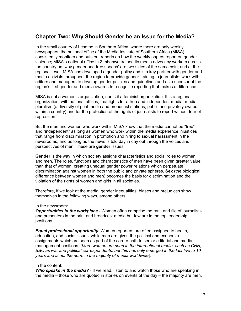# **Chapter Two: Why Should Gender be an Issue for the Media?**

In the small country of Lesotho in Southern Africa, where there are only weekly newspapers, the national office of the Media Institute of Southern Africa (MISA), consistently monitors and puts out reports on how the weekly papers report on gender violence; MISA's national office in Zimbabwe trained its media advocacy workers across the country on 'why gender and free speech' are two sides of the same coin; and at the regional level, MISA has developed a gender policy and is a key partner with gender and media activists throughout the region to provide gender training to journalists, work with editors and managers to develop gender policies and guidelines and as a sponsor of the region's first gender and media awards to recognize reporting that makes a difference.

MISA is not a women's organization, nor is it a feminist organization. It is a regional organization, with national offices, that fights for a free and independent media, media pluralism (a diversity of print media and broadcast stations, public and privately owned, within a country) and for the protection of the rights of journalists to report without fear of repression.

But the men and women who work within MISA know that the media cannot be "free" and "independent" as long as women who work within the media experience injustices that range from discrimination in promotion and hiring to sexual harassment in the newsrooms, and as long as the news is told day in day out through the voices and perspectives of men. These are **gender** issues.

**Gender** is the way in which society assigns characteristics and social roles to women and men. The roles, functions and characteristics of men have been given greater value than that of women, creating unequal gender power relations which perpetuate discrimination against women in both the public and private spheres. **Sex** (the biological difference between women and men) becomes the basis for discrimination and the violation of the rights of women and girls in all societies.

Therefore, if we look at the media, gender inequalities, biases and prejudices show themselves in the following ways, among others:

#### In the newsroom:

*Opportunities in the workplace* - Women often comprise the rank and file of journalists and presenters in the print and broadcast media but few are in the top leadership positions.

*Equal professional opportunity*: Women reporters are often assigned to health, education, and social issues, while men are given the political and economic assignments which are seen as part of the career path to senior editorial and media management positions. [*More women are seen in the international media, such as CNN, BBC as war and political correspondents, but this has only emerged in the last five to 10 years and is not the norm in the majority of media worldwide*].

#### In the content:

*Who speaks in the media?* - If we read, listen to and watch those who are speaking in the media – those who are quoted in stories on events of the day – the majority are men,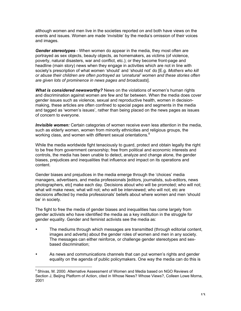although women and men live in the societies reported on and both have views on the events and issues. Women are made 'invisible' by the media's omission of their voices and images.

*Gender stereotypes* - When women do appear in the media, they most often are portrayed as sex objects, beauty objects, as homemakers, as victims (of violence, poverty, natural disasters, war and conflict, etc.); or they become front-page and headline (main story) news when they engage in activities which are not in line with society's prescription of what women 'should' and 'should not' do [E.g. *Mothers who kill or abuse their children are often portrayed as 'unnatural' women and these stories often are given lots of prominence in news pages and broadcasts*].

*What is considered newsworthy?* News on the violations of women's human rights and discrimination against women are few and far between. When the media does cover gender issues such as violence, sexual and reproductive health, women in decisionmaking, these articles are often confined to special pages and segments in the media and tagged as 'women's issues', rather than being placed on the news pages as issues of concern to everyone.

*Invisible women:* Certain categories of women receive even less attention in the media, such as elderly women, women from minority ethnicities and religious groups, the working class, and women with different sexual orientations.<sup>8</sup>

While the media worldwide fight tenaciously to guard, protect and obtain legally the right to be free from government censorship; free from political and economic interests and controls, the media has been unable to detect, analyze and change alone, the gender biases, prejudices and inequalities that influence and impact on its operations and content.

Gender biases and prejudices in the media emerge through the 'choices' media managers, advertisers, and media professionals [editors, journalists, sub-editors, news photographers, etc] make each day. Decisions about who will be promoted; who will not; what will make news; what will not; who will be interviewed; who will not; etc are decisions affected by media professionals' beliefs about where women and men 'should be' in society.

The fight to free the media of gender biases and inequalities has come largely from gender activists who have identified the media as a key institution in the struggle for gender equality. Gender and feminist activists see the media as:

- The mediums through which messages are transmitted (through editorial content, images and adverts) about the gender roles of women and men in any society. The messages can either reinforce, or challenge gender stereotypes and sexbased discrimination;
- As news and communications channels that can put women's rights and gender equality on the agenda of public policymakers. One way the media can do this is

 $8$  Shivas, M. 2000. Alternative Assessment of Women and Media based on NGO Reviews of Section J, Beijing Platform of Action, cited in Whose News? Whose Views?, Colleen Lowe Morna, 2001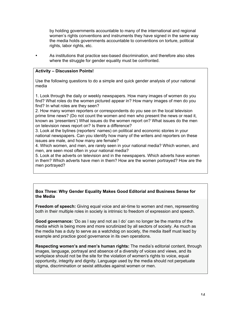by holding governments accountable to many of the international and regional women's rights conventions and instruments they have signed in the same way the media holds governments accountable to conventions on torture, political rights, labor rights, etc.

• As institutions that practice sex-based discrimination, and therefore also sites where the struggle for gender equality must be confronted.

## **Activity – Discussion Points!**

Use the following questions to do a simple and quick gender analysis of your national media

1. Look through the daily or weekly newspapers. How many images of women do you find? What roles do the women pictured appear in? How many images of men do you find? In what roles are they seen?

2. How many women reporters or correspondents do you see on the local television prime time news? (Do not count the women and men who present the news or read it, known as 'presenters') What issues do the women report on? What issues do the men on television news report on? Is there a difference?

3. Look at the bylines (reporters' names) on political and economic stories in your national newspapers. Can you identify how many of the writers and reporters on these issues are male, and how many are female?

4. Which women, and men, are rarely seen in your national media? Which women, and men, are seen most often in your national media?

5. Look at the adverts on television and in the newspapers. Which adverts have women in them? Which adverts have men in them? How are the women portrayed? How are the men portrayed?

## **Box Three: Why Gender Equality Makes Good Editorial and Business Sense for the Media**

**Freedom of speech:** Giving equal voice and air-time to women and men, representing both in their multiple roles in society is intrinsic to freedom of expression and speech.

**Good governance:** 'Do as I say and not as I do' can no longer be the mantra of the media which is being more and more scrutinized by all sectors of society. As much as the media has a duty to serve as a watchdog on society, the media itself must lead by example and practice good governance in its own operations.

**Respecting women's and men's human rights:** The media's editorial content, through images, language, portrayal and absence of a diversity of voices and views, and its workplace should not be the site for the violation of women's rights to voice, equal opportunity, integrity and dignity. Language used by the media should not perpetuate stigma, discrimination or sexist attitudes against women or men.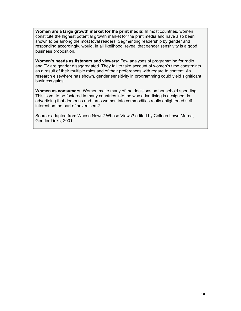**Women are a large growth market for the print media:** In most countries, women constitute the highest potential growth market for the print media and have also been shown to be among the most loyal readers. Segmenting readership by gender and responding accordingly, would, in all likelihood, reveal that gender sensitivity is a good business proposition.

**Women's needs as listeners and viewers:** Few analyses of programming for radio and TV are gender disaggregated. They fail to take account of women's time constraints as a result of their multiple roles and of their preferences with regard to content. As research elsewhere has shown, gender sensitivity in programming could yield significant business gains.

**Women as consumers**: Women make many of the decisions on household spending. This is yet to be factored in many countries into the way advertising is designed. Is advertising that demeans and turns women into commodities really enlightened selfinterest on the part of advertisers?

Source: adapted from Whose News? Whose Views? edited by Colleen Lowe Morna, Gender Links, 2001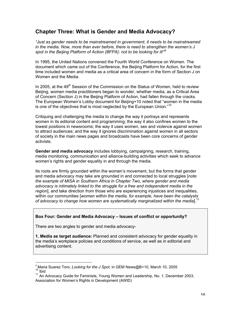# **Chapter Three: What is Gender and Media Advocacy?**

*"Just as gender needs to be mainstreamed in government, it needs to be mainstreamed in the media. Now, more than ever before, there is need to strengthen the women's J spot in the Beijing Platform of Action (BFPA): not to be looking for it!"<sup>9</sup>*

In 1995, the United Nations convened the Fourth World Conference on Women. The document which came out of the Conference, the Beijing Platform for Action, for the first time included women and media as a critical area of concern in the form of Section J on Women and the Media.

In 2005, at the  $49<sup>th</sup>$  Session of the Commission on the Status of Women, held to review Beijing, women media practitioners began to wonder, whether media, as a Critical Area of Concern (Section J) in the Beijing Platform of Action, had fallen through the cracks. The European Women's Lobby document for Beijing+10 noted that "women in the media is one of the objectives that is most neglected by the European Union."10

Critiquing and challenging the media to change the way it portrays and represents women in its editorial content and programming; the way it also confines women to the lowest positions in newsrooms; the way it uses women, sex and violence against women to attract audiences; and the way it ignores discrimination against women in all sectors of society in the main news pages and broadcasts have been core concerns of gender activists.

**Gender and media advocacy** includes lobbying, campaigning, research, training, media monitoring, communication and alliance-building activities which seek to advance women's rights and gender equality in and through the media.

Its roots are firmly grounded within the women's movement, but the forms that gender and media advocacy may take are grounded in and connected to local struggles [*note the example of MISA in Southern Africa in Chapter Two, where gender and media advocacy is intimately linked to the struggle for a free and independent media in the region*], and take direction from those who are experiencing injustices and inequalities, within our communities [*women within the media, for example, have been the catalysts* of advocacy to change how women are systematically marginalized within the media].<sup>11</sup>

## **Box Four: Gender and Media Advocacy – Issues of conflict or opportunity?**

There are two angles to gender and media advocacy-

**1. Media as target audience:** Planned and consistent advocacy for gender equality in the media's workplace policies and conditions of service, as well as in editorial and advertising content.

<sup>&</sup>lt;sup>9</sup> Maria Suarez Toro, *Looking for the J Spot*, in GEM News@B+10, March 10, 2005  $10$  Ibid

<sup>&</sup>lt;sup>11</sup> An Advocacy Guide for Feminists, Young Women and Leadership, No. 1, December 2003, Association for Women's Rights in Development (AWID)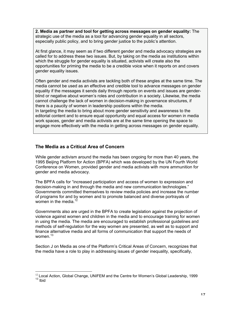**2. Media as partner and tool for getting across messages on gender equality:** The strategic use of the media as a tool for advancing gender equality in all sectors, especially public policy, and to bring gender justice to the public's attention.

At first glance, it may seem as if two different gender and media advocacy strategies are called for to address these two issues. But, by taking on the media as institutions within which the struggle for gender equality is situated, activists will create also the opportunities for priming the media to be a credible voice when it reports on and covers gender equality issues.

Often gender and media activists are tackling both of these angles at the same time. The media cannot be used as an effective and credible tool to advance messages on gender equality if the messages it sends daily through reports on events and issues are genderblind or negative about women's roles and contribution in a society. Likewise, the media cannot challenge the lack of women in decision-making in governance structures, if there is a paucity of women in leadership positions within the media. In targeting the media to bring about more gender sensitivity and awareness to the editorial content and to ensure equal opportunity and equal access for women in media work spaces, gender and media activists are at the same time opening the space to engage more effectively with the media in getting across messages on gender equality.

# **The Media as a Critical Area of Concern**

While gender activism around the media has been ongoing for more than 40 years, the 1995 Beijing Platform for Action (BPFA) which was developed by the UN Fourth World Conference on Women, provided gender and media activists with more ammunition for gender and media advocacy.

The BPFA calls for "increased participation and access of women to expression and decision-making in and through the media and new communication technologies." Governments committed themselves to review media policies and increase the number of programs for and by women and to promote balanced and diverse portrayals of women in the media. $1$ 

Governments also are urged in the BPFA to create legislation against the projection of violence against women and children in the media and to encourage training for women in using the media. The media are encouraged to establish professional guidelines and methods of self-regulation for the way women are presented, as well as to support and finance alternative media and all forms of communication that support the needs of women $13$ 

Section J on Media as one of the Platform's Critical Areas of Concern, recognizes that the media have a role to play in addressing issues of gender inequality, specifically,

 $12$  Local Action, Global Change, UNIFEM and the Centre for Women's Global Leadership, 1999  $13$  Ibid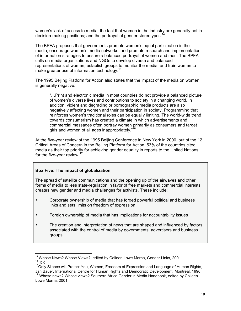women's lack of access to media; the fact that women in the industry are generally not in decision-making positions; and the portrayal of gender stereotypes.<sup>14</sup>

The BPFA proposes that governments promote women's equal participation in the media; encourage women's media networks; and promote research and implementation of information strategies to ensure a balanced portrayal of women and men. The BPFA calls on media organizations and NGOs to develop diverse and balanced representations of women; establish groups to monitor the media; and train women to make greater use of information technology.<sup>15</sup>

The 1995 Beijing Platform for Action also states that the impact of the media on women is generally negative:

"…Print and electronic media in most countries do not provide a balanced picture of women's diverse lives and contributions to society in a changing world. In addition, violent and degrading or pornographic media products are also negatively affecting women and their participation in society. Programming that reinforces women's traditional roles can be equally limiting. The world-wide trend towards consumerism has created a climate in which advertisements and commercial messages often portray women primarily as consumers and target girls and women of all ages inappropriately."<sup>16</sup>

At the five-year review of the 1995 Beijing Conference in New York in 2000, out of the 12 Critical Areas of Concern in the Beijing Platform for Action, 53% of the countries cited media as their top priority for achieving gender equality in reports to the United Nations for the five-year review.<sup>17</sup>

## **Box Five: The impact of globalization**

The spread of satellite communications and the opening up of the airwaves and other forms of media to less state-regulation in favor of free markets and commercial interests creates new gender and media challenges for activists. These include:

- Corporate ownership of media that has forged powerful political and business links and sets limits on freedom of expression
- Foreign ownership of media that has implications for accountability issues
- The creation and interpretation of news that are shaped and influenced by factors associated with the control of media by governments, advertisers and business groups

<sup>&</sup>lt;sup>14</sup> Whose News? Whose Views?, edited by Colleen Lowe Morna, Gender Links, 2001 <sup>15</sup> Ibid

<sup>&</sup>lt;sup>16</sup>Only Silence will Protect You, Women, Freedom of Expression and Language of Human Rights,

Jan Bauer, International Centre for Human Rights and Democratic Development, Montreal, 1996 17 Whose news? Whose views? Southern Africa Gender in Media Handbook, edited by Colleen Lowe Morna, 2001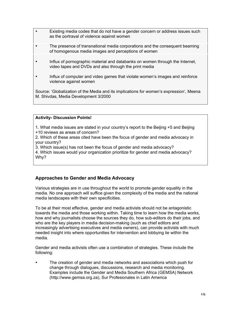- Existing media codes that do not have a gender concern or address issues such as the portrayal of violence against women
- The presence of transnational media corporations and the consequent beaming of homogenous media images and perceptions of women
- Influx of pornographic material and databanks on women through the Internet, video tapes and DVDs and also through the print media
- Influx of computer and video games that violate women's images and reinforce violence against women

Source: 'Globalization of the Media and its implications for women's expression', Meena M. Shivdas, Media Development 3/2000

### **Activity- Discussion Points!**

- 1. What media issues are stated in your country's report to the Beijing +5 and Beijing
- +10 reviews as areas of concern?
- 2. Which of these areas cited have been the focus of gender and media advocacy in your country?
- 3. Which issue(s) has not been the focus of gender and media advocacy?
- 4. Which issues would your organization prioritize for gender and media advocacy? Why?

# **Approaches to Gender and Media Advocacy**

Various strategies are in use throughout the world to promote gender equality in the media. No one approach will suffice given the complexity of the media and the national media landscapes with their own specificities.

To be at their most effective, gender and media activists should not be antagonistic towards the media and those working within. Taking time to learn how the media works, how and why journalists choose the sources they do, how sub-editors do their jobs, and who are the key players in media decision-making (such as chief editors and increasingly advertising executives and media owners), can provide activists with much needed insight into where opportunities for intervention and lobbying lie within the media.

Gender and media activists often use a combination of strategies. These include the following:

• The creation of gender and media networks and associations which push for change through dialogues, discussions, research and media monitoring. Examples include the Gender and Media Southern Africa (GEMSA) Network (http://www.gemsa.org.za), Sur Profesionales in Latin America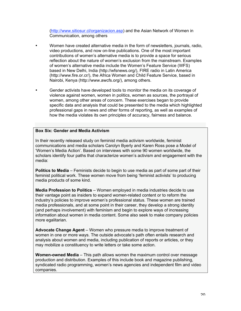(http://www.sitiosur.cl/organizacion.asp) and the Asian Network of Women in Communication, among others

- Women have created alternative media in the form of newsletters, journals, radio, video productions, and now on-line publications. One of the most important contributions of women's alternative media is to provide a space for serious reflection about the nature of women's exclusion from the mainstream. Examples of women's alternative media include the Women's Feature Service (WFS) based in New Delhi, India (http://wfsnews.org/), FIRE radio in Latin America (http://www.fire.or.cr/), the Africa Women and Child Feature Service, based in Nairobi, Kenya (http://www.awcfs.org/), among others.
- Gender activists have developed tools to monitor the media on its coverage of violence against women, women in politics, women as sources, the portrayal of women, among other areas of concern. These exercises began to provide specific data and analysis that could be presented to the media which highlighted professional gaps in news and other forms of reporting, as well as examples of how the media violates its own principles of accuracy, fairness and balance.

## **Box Six: Gender and Media Activism**

In their recently released study on feminist media activism worldwide, feminist communications and media scholars Carolyn Byerly and Karen Ross pose a Model of 'Women's Media Action'. Based on interviews with some 90 women worldwide, the scholars identify four paths that characterize women's activism and engagement with the media:

**Politics to Media** – Feminists decide to begin to use media as part of some part of their feminist political work. These women move from being 'feminist activists' to producing media products of some kind.

**Media Profession to Politics** – Women employed in media industries decide to use their vantage point as insiders to expand women-related content or to reform the industry's policies to improve women's professional status. These women are trained media professionals, and at some point in their career, they develop a strong identity (and perhaps involvement) with feminism and begin to explore ways of increasing information about women in media content. Some also seek to make company policies more egalitarian.

**Advocate Change Agent** – Women who pressure media to improve treatment of women in one or more ways. The outside advocate's path often entails research and analysis about women and media, including publication of reports or articles, or they may mobilize a constituency to write letters or take some action.

**Women-owned Media** – This path allows women the maximum control over message production and distribution. Examples of this include book and magazine publishing, syndicated radio programming, women's news agencies and independent film and video companies.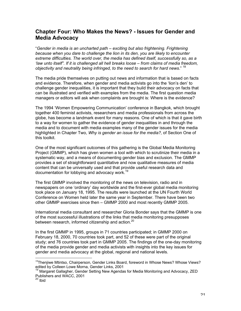# **Chapter Four: Who Makes the News? - Issues for Gender and Media Advocacy**

"*Gender in media is an uncharted path – exciting but also frightening. Frightening because when you dare to challenge the lion in its den, you are likely to encounter extreme difficulties. The world over, the media has defined itself, successfully so, as a 'law unto itself". If it is challenged all hell breaks loose – from claims of media freedom, objectivity and neutrality being infringed, to the need to search for hard news*." <sup>18</sup>

The media pride themselves on putting out news and information that is based on facts and evidence. Therefore, when gender and media activists go into the 'lion's den' to challenge gender inequalities, it is important that they build their advocacy on facts that can be illustrated and verified with examples from the media. The first question media managers or editors will ask when complaints are brought is: Where is the evidence?

The 1994 'Women Empowering Communication' conference in Bangkok, which brought together 400 feminist activists, researchers and media professionals from across the globe, has become a landmark event for many reasons. One of which is that it gave birth to a way for women to gather the evidence of gender inequalities in and through the media and to document with media examples many of the gender issues for the media highlighted in Chapter Two, *Why is gender an issue for the media?,* of Section One of this toolkit.

One of the most significant outcomes of this gathering is the Global Media Monitoring Project (GMMP), which has given women a tool with which to scrutinize their media in a systematic way, and a means of documenting gender bias and exclusion. The GMMP provides a set of straightforward quantitative and now qualitative measures of media content that can be universally used and that provide useful research data and documentation for lobbying and advocacy work.<sup>19</sup>

The first GMMP involved the monitoring of the news on television, radio and in newspapers on one 'ordinary' day worldwide and the first-ever global media monitoring took place on January 18, 1995. The results were launched at the UN Fourth World Conference on Women held later the same year in September. There have been two other GMMP exercises since then – GMMP 2000 and most recently GMMP 2005.

International media consultant and researcher Gloria Bonder says that the GMMP is one of the most successful illustrations of the links that media monitoring presupposes between research, informed citizenship and action.<sup>20</sup>

In the first GMMP in 1995, groups in 71 countries participated; in GMMP 2000 on February 18, 2000, 70 countries took part, and 52 of these were part of the original study; and 76 countries took part in GMMP 2005. The findings of the one-day monitoring of the media provide gender and media activists with insights into the key issues for gender and media advocacy at the global, regional and national levels.

 <sup>18</sup> Thenjiwe Mtintso, Chairperson, Gender Links Board, foreword in Whose News? Whose Views? edited by Colleen Lowe Morna, Gender Links, 2001

<sup>&</sup>lt;sup>19</sup> Margaret Gallagher, Gender Setting New Agendas for Media Monitoring and Advocacy, ZED Publishers and WACC, 2001<br><sup>20</sup> Ibid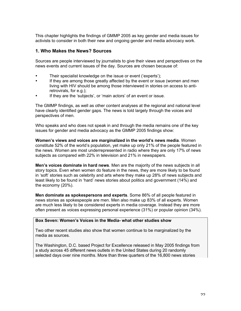This chapter highlights the findings of GMMP 2005 as key gender and media issues for activists to consider in both their new and ongoing gender and media advocacy work.

## **1. Who Makes the News? Sources**

Sources are people interviewed by journalists to give their views and perspectives on the news events and current issues of the day. Sources are chosen because of:

- Their specialist knowledge on the issue or event ('experts');
- If they are among those greatly affected by the event or issue (women and men living with HIV should be among those interviewed in stories on access to antiretrovirals, for e.g.);
- If they are the 'subjects', or 'main actors' of an event or issue.

The GMMP findings, as well as other content analyses at the regional and national level have clearly identified gender gaps. The news is told largely through the voices and perspectives of men.

Who speaks and who does not speak in and through the media remains one of the key issues for gender and media advocacy as the GMMP 2005 findings show:

**Women's views and voices are marginalized in the world's news media**. Women constitute 52% of the world's population, yet make up only 21% of the people featured in the news. Women are most underrepresented in radio where they are only 17% of news subjects as compared with 22% in television and 21% in newspapers.

**Men's voices dominate in hard news**. Men are the majority of the news subjects in all story topics. Even when women do feature in the news, they are more likely to be found in 'soft' stories such as celebrity and arts where they make up 28% of news subjects and least likely to be found in 'hard' news stories about politics and government (14%) and the economy (20%).

**Men dominate as spokespersons and experts**. Some 86% of all people featured in news stories as spokespeople are men. Men also make up 83% of all experts. Women are much less likely to be considered experts in media coverage. Instead they are more often present as voices expressing personal experience (31%) or popular opinion (34%).

## **Box Seven: Women's Voices in the Media- what other studies show**

Two other recent studies also show that women continue to be marginalized by the media as sources.

The Washington, D.C. based Project for Excellence released in May 2005 findings from a study across 45 different news outlets in the United States during 20 randomly selected days over nine months. More than three quarters of the 16,800 news stories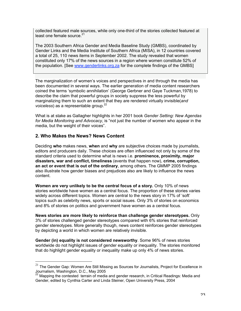collected featured male sources, while only one-third of the stories collected featured at least one female source  $21$ 

The 2003 Southern Africa Gender and Media Baseline Study (GMBS), coordinated by Gender Links and the Media Institute of Southern Africa (MISA), in 12 countries covered a total of 25, 110 news items in September 2002. The study revealed that women constituted only 17% of the news sources in a region where women constitute 52% of the population. [See www.genderlinks.org.za for the complete findings of the GMBS]

The marginalization of women's voices and perspectives in and through the media has been documented in several ways. The earlier generation of media content researchers coined the terms 'symbolic annihilation' (George Gerbner and Gaye Tuckman,1978) to describe the claim that powerful groups in society suppress the less powerful by marginalizing them to such an extent that they are rendered virtually invisible(*and voiceless*) as a representable group.<sup>22</sup>

What is at stake as Gallagher highlights in her 2001 book *Gender Setting: New Agendas for Media Monitoring and Advocacy*, is "not just the number of women who appear in the media, but the weight of their voices".

# **2. Who Makes the News? News Content**

Deciding **who** makes news, **when** and **why** are subjective choices made by journalists, editors and producers daily. These choices are often influenced not only by some of the standard criteria used to determine what is news i.e. **prominence, proximity, major disasters, war and conflict, timeliness** (events that happen now), **crime, corruption, an act or event that is out of the ordinary**, among others. The GMMP 2005 findings also illustrate how gender biases and prejudices also are likely to influence the news content.

**Women are very unlikely to be the central focus of a story.** Only 10% of news stories worldwide have women as a central focus. The proportion of these stories varies widely across different topics. Women are central to the news story in 17% of 'soft' topics such as celebrity news, sports or social issues. Only 3% of stories on economics and 8% of stories on politics and government have women as a central focus.

**News stories are more likely to reinforce than challenge gender stereotypes.** Only 3% of stories challenged gender stereotypes compared with 6% stories that reinforced gender stereotypes. More generally though, news content reinforces gender stereotypes by depicting a world in which women are relatively invisible.

**Gender (in) equality is not considered newsworthy**. Some 96% of news stories worldwide do not highlight issues of gender equality or inequality. The stories monitored that do highlight gender equality or inequality make up only 4% of news stories.

 $21$  The Gender Gap: Women Are Still Missing as Sources for Journalists, Project for Excellence in

Journalism, Washington, D.C., May 2005<br><sup>22</sup> Mapping the contested terrain of media and gender research, in Critical Readings: Media and Gender, edited by Cynthia Carter and Linda Steiner, Open University Press, 2004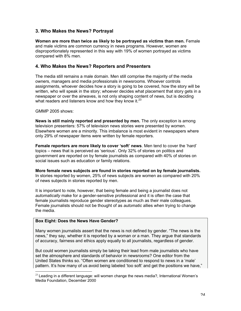# **3. Who Makes the News? Portrayal**

**Women are more than twice as likely to be portrayed as victims than men.** Female and male victims are common currency in news programs. However, women are disproportionately represented in this way with 19% of women portrayed as victims compared with 8% men.

## **4. Who Makes the News? Reporters and Presenters**

The media still remains a male domain. Men still comprise the majority of the media owners, managers and media professionals in newsrooms. Whoever controls assignments, whoever decides how a story is going to be covered, how the story will be written, who will speak in the story; whoever decides what placement that story gets in a newspaper or over the airwaves, is not only shaping content of news, but is deciding what readers and listeners know and how they know it. $^{23}$ 

### GMMP 2005 shows:

**News is still mainly reported and presented by men.** The only exception is among television presenters: 57% of television news stories were presented by women. Elsewhere women are a minority. This imbalance is most evident in newspapers where only 29% of newspaper items were written by female reporters.

**Female reporters are more likely to cover 'soft' news**. Men tend to cover the 'hard' topics – news that is perceived as 'serious'. Only 32% of stories on politics and government are reported on by female journalists as compared with 40% of stories on social issues such as education or family relations.

**More female news subjects are found in stories reported on by female journalists.** In stories reported by women, 25% of news subjects are women as compared with 20% of news subjects in stories reported by men.

It is important to note, however, that being female and being a journalist does not *automatically* make for a gender-sensitive professional and it is often the case that female journalists reproduce gender stereotypes as much as their male colleagues. Female journalists should not be thought of as *automatic* allies when trying to change the media.

#### **Box Eight: Does the News Have Gender?**

Many women journalists assert that the news is not defined by gender. "The news is the news," they say, whether it is reported by a woman or a man. They argue that standards of accuracy, fairness and ethics apply equally to all journalists, regardless of gender.

But could women journalists simply be taking their lead from male journalists who have set the atmosphere and standards of behavior in newsrooms? One editor from the United States thinks so. "Often women are conditioned to respond to news in a 'male' pattern. It's how many of us avoid being labeled 'too soft' and get the positions we have,"

 $23$  Leading in a different language: will women change the news media?, International Women's Media Foundation, December 2000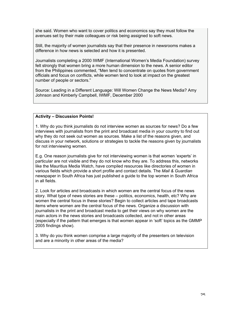she said. Women who want to cover politics and economics say they must follow the avenues set by their male colleagues or risk being assigned to soft news.

Still, the majority of women journalists say that their presence in newsrooms makes a difference in how news is selected and how it is presented.

Journalists completing a 2000 IWMF (International Women's Media Foundation) survey felt strongly that women bring a more human dimension to the news. A senior editor from the Philippines commented, "Men tend to concentrate on quotes from government officials and focus on conflicts, while women tend to look at impact on the greatest number of people or sectors."

Source: Leading in a Different Language: Will Women Change the News Media? Amy Johnson and Kimberly Campbell, IWMF, December 2000

## **Activity – Discussion Points!**

1. Why do you think journalists do not interview women as sources for news? Do a few interviews with journalists from the print and broadcast media in your country to find out why they do not seek out women as sources. Make a list of the reasons given, and discuss in your network, solutions or strategies to tackle the reasons given by journalists for not interviewing women.

E.g. One reason journalists give for not interviewing women is that women 'experts' in particular are not visible and they do not know who they are. To address this, networks like the Mauritius Media Watch, have compiled resources like directories of women in various fields which provide a short profile and contact details. The *Mail & Guardian* newspaper in South Africa has just published a guide to the top women in South Africa in all fields.

2. Look for articles and broadcasts in which women are the central focus of the news story. What type of news stories are these – politics, economics, health, etc? Why are women the central focus in these stories? Begin to collect articles and tape broadcasts items where women are the central focus of the news. Organize a discussion with journalists in the print and broadcast media to get their views on why women are the main actors in the news stories and broadcasts collected, and not in other areas (especially if the pattern that emerges is that women appear in 'soft' topics as the GMMP 2005 findings show).

3. Why do you think women comprise a large majority of the presenters on television and are a minority in other areas of the media?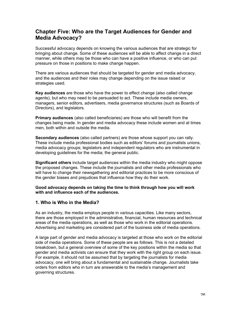# **Chapter Five: Who are the Target Audiences for Gender and Media Advocacy?**

Successful advocacy depends on knowing the various audiences that are strategic for bringing about change. Some of these audiences will be able to affect change in a direct manner, while others may be those who can have a positive influence, or who can put pressure on those in positions to make change happen.

There are various audiences that should be targeted for gender and media advocacy, and the audiences and their roles may change depending on the issue raised or strategies used.

**Key audiences** are those who have the power to effect change (also called change agents), but who may need to be persuaded to act. These include media owners, managers, senior editors, advertisers, media governance structures (such as Boards of Directors), and legislators.

**Primary audiences** (also called beneficiaries) are those who will benefit from the changes being made. In gender and media advocacy these include women and at times men, both within and outside the media.

**Secondary audiences** (also called partners) are those whose support you can rally. These include media professional bodies such as editors' forums and journalists unions, media advocacy groups; legislators and independent regulators who are instrumental in developing guidelines for the media; the general public.

**Significant others** include target audiences within the media industry who might oppose the proposed changes. These include the journalists and other media professionals who will have to change their newsgathering and editorial practices to be more conscious of the gender biases and prejudices that influence how they do their work.

### **Good advocacy depends on taking the time to think through how you will work with and influence each of the audiences.**

# **1. Who is Who in the Media?**

As an industry, the media employs people in various capacities. Like many sectors, there are those employed in the administrative, financial, human resources and technical areas of the media operations, as well as those who work in the editorial operations. Advertising and marketing are considered part of the business side of media operations.

A large part of gender and media advocacy is targeted at those who work on the editorial side of media operations. Some of these people are as follows. This is not a detailed breakdown, but a general overview of some of the key positions within the media so that gender and media activists can ensure that they work with the right group on each issue. For example, it should not be assumed that by targeting the journalists for media advocacy, one will bring about a fundamental and sustainable change. Journalists take orders from editors who in turn are answerable to the media's management and governing structures.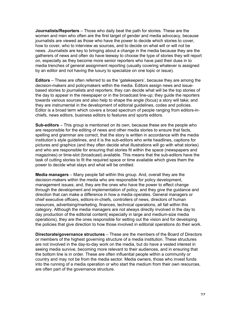**Journalists/Reporters** – Those who daily beat the path for stories. These are the women and men who often are the first target of gender and media advocacy, because journalists are viewed as those who have the power to decide which stories to cover, how to cover, who to interview as sources, and to decide on what will or will not be news. Journalists are key to bringing about a change in the media because they are the gatherers of news and often do have leeway to choose the type of stories they will report on, especially as they become more senior reporters who have paid their dues in to media trenches of general assignment reporting (usually covering whatever is assigned by an editor and not having the luxury to specialize on one topic or issue).

**Editors** – These are often referred to as the 'gatekeepers', because they are among the decision-makers and policymakers within the media. Editors assign news and issuebased stories to journalists and reporters; they can decide what will be the top stories of the day to appear in the newspaper or in the broadcast line-up; they guide the reporters towards various sources and also help to shape the angle (focus) a story will take; and they are instrumental in the development of editorial guidelines, codes and policies. Editor is a broad term which covers a broad spectrum of people ranging from editors-inchiefs, news editors, business editors to features and sports editors.

**Sub-editors** – This group is mentioned on its own, because these are the people who are responsible for the editing of news and other media stories to ensure that facts, spelling and grammar are correct, that the story is written in accordance with the media institution's style guidelines, and it is the sub-editors who write headlines, captions for pictures and graphics (and they often decide what illustrations will go with what stories) and who are responsible for ensuring that stories fit within the space (newspapers and magazines) or time-slot (broadcast) available. This means that the sub-editors have the task of cutting stories to fit the required space or time available which gives them the power to decide what stays and what will be omitted.

**Media managers** – Many people fall within this group. And, overall they are the decision-makers within the media who are responsible for policy development, management issues; and, they are the ones who have the power to effect change through the development and implementation of policy, and they give the guidance and direction that can make a difference in how a media operates. General managers or chief executive officers, editors-in-chiefs, controllers of news, directors of human resources, advertising/marketing, finances, technical operations, all fall within this category. Although the media managers are not always directly involved in the day to day production of the editorial content( especially in large and medium-size media operations), they are the ones responsible for setting out the vision and for developing the policies that give direction to how those involved in editorial operations do their work.

**Directorate/governance structures** – These are the members of the Board of Directors or members of the highest governing structure of a media institution. These structures are not involved in the day-to-day work on the media, but do have a vested interest in seeing media survive, becoming more relevant to their audiences, and in ensuring that the bottom line is in order. These are often influential people within a community or country and may not be from the media sector. Media owners, those who invest funds into the running of a media operation or who start the medium from their own resources, are often part of the governance structure.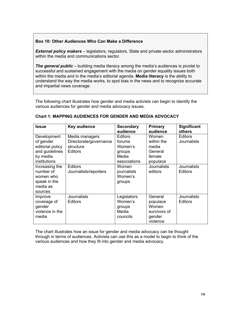## **Box 10: Other Audiences Who Can Make a Difference**

*External policy makers* – legislators, regulators, State and private sector administrators within the media and communications sector.

**The general public** – building media literacy among the media's audiences is pivotal to successful and sustained engagement with the media on gender equality issues both within the media and in the media's editorial agenda. **Media literacy** is the ability to understand the way the media works, to spot bias in the news and to recognize accurate and impartial news coverage.

The following chart illustrates how gender and media activists can begin to identify the various audiences for gender and media advocacy issues.

| <b>Issue</b>                                                                    | Key audience                             | <b>Secondary</b><br>audience                          | Primary<br>audience                                                | <b>Significant</b><br>others  |
|---------------------------------------------------------------------------------|------------------------------------------|-------------------------------------------------------|--------------------------------------------------------------------|-------------------------------|
| Development<br>of gender                                                        | Media managers<br>Directorate/governance | <b>Editors</b><br>forums                              | Women<br>within the                                                | <b>Editors</b><br>Journalists |
| editorial policy<br>and guidelines<br>by media<br>institutions                  | structure<br><b>Editors</b>              | Women's<br>groups<br>Media<br>associations            | media<br>General<br>female<br>populace                             |                               |
| Increasing the<br>number of<br>women who<br>speak in the<br>media as<br>sources | <b>Editors</b><br>Journalists/reporters  | Women<br>journalists<br>Women's<br>groups             | <b>Journalists</b><br>editors                                      | Journalists<br><b>Editors</b> |
| Improve<br>coverage of<br>gender<br>violence in the<br>media                    | <b>Journalists</b><br>Editors            | Legislators<br>Women's<br>groups<br>Media<br>councils | General<br>populace<br>Women<br>survivors of<br>gender<br>violence | <b>Journalists</b><br>Editors |

### **Chart 1: MAPPING AUDIENCES FOR GENDER AND MEDIA ADVOCACY**

The chart illustrates how an issue for gender and media advocacy can be thought through in terms of audiences. Activists can use this as a model to begin to think of the various audiences and how they fit into gender and media advocacy.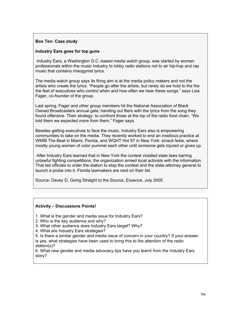## **Box Ten: Case study**

## **Industry Ears goes for top guns**

 Industry Ears, a Washington D.C.-based media watch group, was started by women professionals within the music industry to lobby radio stations not to air hip-hop and rap music that contains misogynist lyrics.

The media watch group says its firing aim is at the media policy makers and not the artists who create the lyrics. "People go after the artists, but rarely do we hold to the fire the feet of executives who control when and how often we hear these songs," says Lisa Fager, co-founder of the group.

Last spring, Fager and other group members hit the National Association of Black Owned Broadcasters annual gala, handing out fliers with the lyrics from the song they found offensive. Their strategy: to confront those at the top of the radio food chain. "We told them we expected more from them," Fager says.

Besides getting executives to face the music, Industry Ears also is empowering communities to take on the media. They recently worked to end an insidious practice at WMIB The Beat in Miami, Florida, and WQHT Hot 97 in New York: smack fests, where mostly young women of color pummel each other until someone gets injured or gives up.

 After Industry Ears learned that in New York the contest violated state laws barring unlawful fighting competitions, the organization armed local activists with the information. That led officials to order the station to stop the contest and the state attorney general to launch a probe into it. Florida lawmakers are next on their list.

Source: Davey D, Going Straight to the Source, *Essence*, July 2005

## **Activity – Discussions Points!**

- 1. What is the gender and media issue for Industry Ears?
- 2. Who is the key audience and why?
- 3. What other audience does Industry Ears target? Why?
- 4. What are Industry Ears strategies?

5. Is there a similar gender and media issue of concern in your country? If your answer is yes, what strategies have been used to bring this to the attention of the radio station(s)?

6. What new gender and media advocacy tips have you learnt from the Industry Ears story?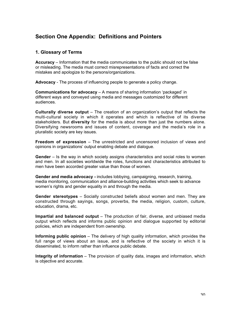# **Section One Appendix: Definitions and Pointers**

# **1. Glossary of Terms**

**Accuracy** – Information that the media communicates to the public should not be false or misleading. The media must correct misrepresentations of facts and correct the mistakes and apologize to the persons/organizations.

**Advocacy** - The process of influencing people to generate a policy change.

**Communications for advocacy** – A means of sharing information 'packaged' in different ways and conveyed using media and messages customized for different audiences.

**Culturally diverse output** – The creation of an organization's output that reflects the multi-cultural society in which it operates and which is reflective of its diverse stakeholders. But **diversity** for the media is about more than just the numbers alone. Diversifying newsrooms and issues of content, coverage and the media's role in a pluralistic society are key issues.

**Freedom of expression** – The unrestricted and uncensored inclusion of views and opinions in organizations' output enabling debate and dialogue.

**Gender** – Is the way in which society assigns characteristics and social roles to women and men. In all societies worldwide the roles, functions and characteristics attributed to men have been accorded greater value than those of women.

**Gender and media advocacy -** includes lobbying, campaigning, research, training, media monitoring, communication and alliance-building activities which seek to advance women's rights and gender equality in and through the media.

**Gender stereotypes** – Socially constructed beliefs about women and men. They are constructed through sayings, songs, proverbs, the media, religion, custom, culture, education, drama, etc.

**Impartial and balanced output** – The production of fair, diverse, and unbiased media output which reflects and informs public opinion and dialogue supported by editorial policies, which are independent from ownership.

**Informing public opinion** – The delivery of high quality information, which provides the full range of views about an issue, and is reflective of the society in which it is disseminated, to inform rather than influence public debate.

**Integrity of information** – The provision of quality data, images and information, which is objective and accurate.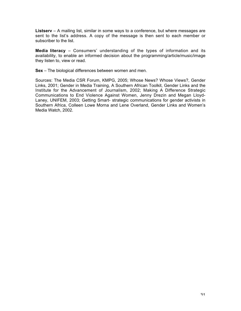**Listserv** – A mailing list, similar in some ways to a conference, but where messages are sent to the list's address. A copy of the message is then sent to each member or subscriber to the list.

**Media literacy** – Consumers' understanding of the types of information and its availability, to enable an informed decision about the programming/article/music/image they listen to, view or read.

**Sex** – The biological differences between women and men.

Sources: The Media CSR Forum, KMPG, 2005; Whose News? Whose Views?, Gender Links, 2001; Gender in Media Training, A Southern African Toolkit, Gender Links and the Institute for the Advancement of Journalism, 2002; Making A Difference Strategic Communications to End Violence Against Women, Jenny Drezin and Megan Lloyd-Laney, UNIFEM, 2003; Getting Smart- strategic communications for gender activists in Southern Africa, Colleen Lowe Morna and Lene Overland, Gender Links and Women's Media Watch, 2002.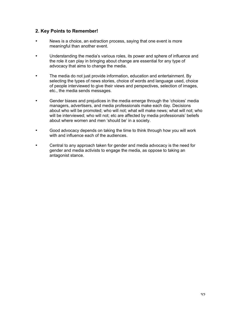# **2. Key Points to Remember!**

- News is a choice, an extraction process, saying that one event is more meaningful than another event.
- Understanding the media's various roles, its power and sphere of influence and the role it can play in bringing about change are essential for any type of advocacy that aims to change the media.
- The media do not just provide information, education and entertainment. By selecting the types of news stories, choice of words and language used, choice of people interviewed to give their views and perspectives, selection of images, etc., the media sends messages.
- Gender biases and prejudices in the media emerge through the 'choices' media managers, advertisers, and media professionals make each day. Decisions about who will be promoted; who will not; what will make news; what will not; who will be interviewed; who will not; etc are affected by media professionals' beliefs about where women and men 'should be' in a society.
- Good advocacy depends on taking the time to think through how you will work with and influence each of the audiences.
- Central to any approach taken for gender and media advocacy is the need for gender and media activists to engage the media, as oppose to taking an antagonist stance.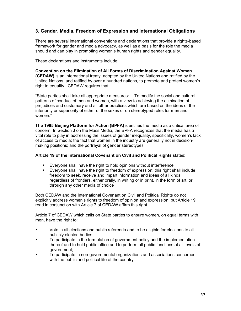# **3. Gender, Media, Freedom of Expression and International Obligations**

There are several international conventions and declarations that provide a rights-based framework for gender and media advocacy, as well as a basis for the role the media should and can play in promoting women's human rights and gender equality.

These declarations and instruments include:

**Convention on the Elimination of All Forms of Discrimination Against Women (CEDAW)** is an international treaty, adopted by the United Nations and ratified by the United Nations, and ratified by over a hundred nations, to promote and protect women's right to equality. CEDAW requires that:

"State parties shall take all appropriate measures:… To modify the social and cultural patterns of conduct of men and women, with a view to achieving the elimination of prejudices and customary and all other practices which are based on the ideas of the inferiority or superiority of either of the sexes or on stereotyped roles for men and women."

**The 1995 Beijing Platform for Action (BPFA)** identifies the media as a critical area of concern. In Section J on the Mass Media, the BPFA recognizes that the media has a vital role to play in addressing the issues of gender inequality, specifically, women's lack of access to media; the fact that women in the industry are generally not in decisionmaking positions; and the portrayal of gender stereotypes.

### **Article 19 of the International Covenant on Civil and Political Rights** states:

- Everyone shall have the right to hold opinions without interference
- Everyone shall have the right to freedom of expression; this right shall include freedom to seek, receive and impart information and ideas of all kinds, regardless of frontiers, either orally, in writing or in print, in the form of art, or through any other media of choice

Both CEDAW and the International Covenant on Civil and Political Rights do not explicitly address women's rights to freedom of opinion and expression, but Article 19 read in conjunction with Article 7 of CEDAW affirm this right.

Article 7 of CEDAW which calls on State parties to ensure women, on equal terms with men, have the right to:

- Vote in all elections and public referenda and to be eligible for elections to all publicly elected bodies
- To participate in the formulation of government policy and the implementation thereof and to hold public office and to perform all public functions at all levels of government;
- To participate in non-governmental organizations and associations concerned with the public and political life of the country.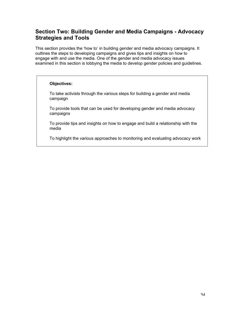# **Section Two: Building Gender and Media Campaigns - Advocacy Strategies and Tools**

This section provides the 'how to' in building gender and media advocacy campaigns. It outlines the steps to developing campaigns and gives tips and insights on how to engage with and use the media. One of the gender and media advocacy issues examined in this section is lobbying the media to develop gender policies and guidelines.

### **Objectives:**

To take activists through the various steps for building a gender and media campaign

To provide tools that can be used for developing gender and media advocacy campaigns

To provide tips and insights on how to engage and build a relationship with the media

To highlight the various approaches to monitoring and evaluating advocacy work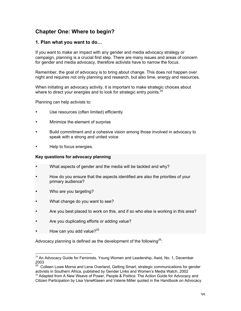# **Chapter One: Where to begin?**

## **1. Plan what you want to do…**

If you want to make an impact with any gender and media advocacy strategy or campaign, planning is a crucial first step. There are many issues and areas of concern for gender and media advocacy, therefore activists have to narrow the focus.

Remember, the goal of advocacy is to bring about change. This does not happen over night and requires not only planning and research, but also time, energy and resources.

When initiating an advocacy activity, it is important to make strategic choices about where to direct your energies and to look for strategic entry points.  $24$ 

Planning can help activists to:

- Use resources (often limited) efficiently
- Minimize the element of surprise
- Build commitment and a cohesive vision among those involved in advocacy to speak with a strong and united voice
- Help to focus energies.

#### **Key questions for advocacy planning**

- What aspects of gender and the media will be tackled and why?
- How do you ensure that the aspects identified are also the priorities of your primary audience?
- Who are you targeting?
- What change do you want to see?
- Are you best placed to work on this, and if so who else is working in this area?
- Are you duplicating efforts or adding value?
- How can you add value? $25$

Advocacy planning is defined as the development of the following<sup>26</sup>:

 $24$  An Advocacy Guide for Feminists, Young Women and Leadership, Awid, No. 1, December 2003

<sup>&</sup>lt;sup>25</sup> Colleen Lowe Morna and Lene Overland, Getting Smart, strategic communications for gender activists in Southern Africa, published by Gender Links and Women's Media Watch, 2002

 $26$  Adapted from A New Weave of Power, People & Politics: The Action Guide for Advocacy and Citizen Participation by Lisa VeneKlasen and Valerie Miller quoted in the Handbook on Advocacy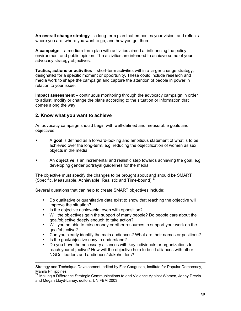**An overall change strategy** – a long-term plan that embodies your vision, and reflects where you are, where you want to go, and how you get there.

**A campaign** – a medium-term plan with activities aimed at influencing the policy environment and public opinion. The activities are intended to achieve some of your advocacy strategy objectives.

**Tactics, actions or activities** – short-term activities within a larger change strategy, designated for a specific moment or opportunity. These could include research and media work to shape the campaign and capture the attention of people in power in relation to your issue.

**Impact assessment** – continuous monitoring through the advocacy campaign in order to adjust, modify or change the plans according to the situation or information that comes along the way.

## **2. Know what you want to achieve**

An advocacy campaign should begin with well-defined and measurable goals and objectives.

- A **goal** is defined as a forward-looking and ambitious statement of what is to be achieved over the long-term, e.g. reducing the objectification of women as sex objects in the media.
- An **objective** is an incremental and realistic step towards achieving the goal, e.g. developing gender portrayal guidelines for the media.

The objective must specify the changes to be brought about and should be SMART (Specific, Measurable, Achievable, Realistic and Time-bound). $27$ 

Several questions that can help to create SMART objectives include:

- Do qualitative or quantitative data exist to show that reaching the objective will improve the situation?
- Is the objective achievable, even with opposition?
- Will the objectives gain the support of many people? Do people care about the goal/objective deeply enough to take action?
- Will you be able to raise money or other resources to support your work on the goal/objective?
- Can you clearly identify the main audiences? What are their names or positions?
- Is the goal/objective easy to understand?

 $\overline{a}$ 

• Do you have the necessary alliances with key individuals or organizations to reach your objective? How will the objective help to build alliances with other NGOs, leaders and audiences/stakeholders?

Strategy and Technique Development, edited by Flor Caagusan, Institute for Popular Democracy, Manila Philippines

<sup>&</sup>lt;sup>27</sup> Making a Difference Strategic Communications to end Violence Against Women, Jenny Drezin and Megan Lloyd-Laney, editors, UNIFEM 2003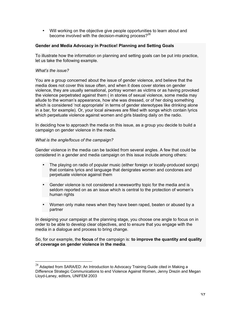• Will working on the objective give people opportunities to learn about and become involved with the decision-making process? $2^{28}$ 

### **Gender and Media Advocacy in Practice! Planning and Setting Goals**

To illustrate how the information on planning and setting goals can be put into practice, let us take the following example.

### *What's the issue?*

You are a group concerned about the issue of gender violence, and believe that the media does not cover this issue often, and when it does cover stories on gender violence, they are usually sensational, portray women as victims or as having provoked the violence perpetrated against them ( in stories of sexual violence, some media may allude to the woman's appearance, how she was dressed, or of her doing something which is considered 'not appropriate' in terms of gender stereotypes like drinking alone in a bar, for example). Or, your local airwaves are filled with songs which contain lyrics which perpetuate violence against women and girls blasting daily on the radio.

In deciding how to approach the media on this issue, as a group you decide to build a campaign on gender violence in the media.

#### *What is the angle/focus of the campaign?*

Gender violence in the media can be tackled from several angles. A few that could be considered in a gender and media campaign on this issue include among others:

- The playing on radio of popular music (either foreign or locally-produced songs) that contains lyrics and language that denigrates women and condones and perpetuate violence against them
- Gender violence is not considered a newsworthy topic for the media and is seldom reported on as an issue which is central to the protection of women's human rights
- Women only make news when they have been raped, beaten or abused by a partner

In designing your campaign at the planning stage, you choose one angle to focus on in order to be able to develop clear objectives, and to ensure that you engage with the media in a dialogue and process to bring change.

So, for our example, the **focus** of the campaign is: **to improve the quantity and quality of coverage on gender violence in the media**.

 $^{28}$  Adapted from SARA/ED: An Introduction to Advocacy Training Guide cited in Making a Difference Strategic Communications to end Violence Against Women, Jenny Drezin and Megan Lloyd-Laney, editors, UNIFEM 2003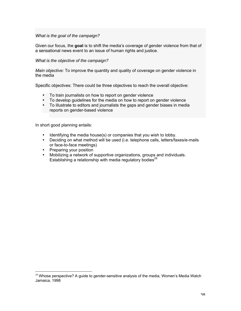### *What is the goal of the campaign?*

Given our focus, the **goal** is to shift the media's coverage of gender violence from that of a sensational news event to an issue of human rights and justice.

### *What is the objective of the campaign?*

*Main objective:* To improve the quantity and quality of coverage on gender violence in the media

Specific objectives: There could be three objectives to reach the overall objective:

- To train journalists on how to report on gender violence
- To develop guidelines for the media on how to report on gender violence
- To illustrate to editors and journalists the gaps and gender biases in media reports on gender-based violence

In short good planning entails:

- Identifying the media house(s) or companies that you wish to lobby.
- Deciding on what method will be used (i.e. telephone calls, letters/faxes/e-mails or face-to-face meetings)
- Preparing your position
- Mobilizing a network of supportive organizations, groups and individuals. Establishing a relationship with media regulatory bodies<sup>29</sup>

 $29$  Whose perspective? A guide to gender-sensitive analysis of the media, Women's Media Watch Jamaica, 1998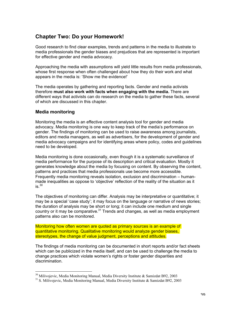# **Chapter Two: Do your Homework!**

Good research to find clear examples, trends and patterns in the media to illustrate to media professionals the gender biases and prejudices that are represented is important for effective gender and media advocacy.

Approaching the media with assumptions will yield little results from media professionals, whose first response when often challenged about how they do their work and what appears in the media is: 'Show me the evidence!'

The media operates by gathering and reporting facts. Gender and media activists therefore **must also work with facts when engaging with the media.** There are different ways that activists can do research on the media to gather these facts, several of which are discussed in this chapter.

# **Media monitoring**

Monitoring the media is an effective content analysis tool for gender and media advocacy. Media monitoring is one way to keep track of the media's performance on gender. The findings of monitoring can be used to raise awareness among journalists, editors and media managers, as well as advertisers, for the development of gender and media advocacy campaigns and for identifying areas where policy, codes and guidelines need to be developed.

Media monitoring is done occasionally, even though it is a systematic surveillance of media performance for the purpose of its description and critical evaluation. Mostly it generates knowledge about the media by focusing on content. By observing the content, patterns and practices that media professionals use become more accessible. Frequently media monitoring reveals isolation, exclusion and discrimination – humanmade inequalities as oppose to 'objective' reflection of the reality of the situation as it  $is.<sup>30</sup>$ 

The objectives of monitoring can differ. Analysis may be interpretative or quantitative; it may be a special 'case study'; it may focus on the language or narrative of news stories; the duration of analysis may be short or long; it can include one medium and single country or it may be comparative.<sup>31</sup> Trends and changes, as well as media employment patterns also can be monitored.

Monitoring how often women are quoted as primary sources is an example of quantitative monitoring. Qualitative monitoring would analyze gender biases, stereotypes, the change of value judgment, perceptions and attitudes.

The findings of media monitoring can be documented in short reports and/or fact sheets which can be publicized in the media itself, and can be used to challenge the media to change practices which violate women's rights or foster gender disparities and discrimination.

<sup>&</sup>lt;sup>30</sup> Milivojevic, Media Monitoring Manual, Media Diversity Institute & Samizdat B92, 2003

<sup>&</sup>lt;sup>31</sup> S. Milivojevic, Media Monitoring Manual, Media Diversity Institute & Samizdat B92, 2003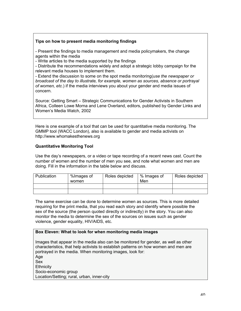# **Tips on how to present media monitoring findings**

- Present the findings to media management and media policymakers, the change agents within the media

- Write articles to the media supported by the findings

- Distribute the recommendations widely and adopt a strategic lobby campaign for the relevant media houses to implement them.

- Extend the discussion to some on the spot media monitoring(*use the newspaper or broadcast of the day to illustrate, for example, women as sources, absence or portrayal of women, etc.*) if the media interviews you about your gender and media issues of concern.

Source: Getting Smart – Strategic Communications for Gender Activists in Southern Africa, Colleen Lowe Morna and Lene Overland, editors, published by Gender Links and Women's Media Watch, 2002

Here is one example of a tool that can be used for quantitative media monitoring. The GMMP tool (WACC London), also is available to gender and media activists on http://www.whomakesthenews.org

# **Quantitative Monitoring Tool**

Use the day's newspapers, or a video or tape recording of a recent news cast. Count the number of women and the number of men you see, and note what women and men are doing. Fill in the information in the table below and discuss.

| Publication | %Images of<br>women | Roles depicted | % Images of<br>Men | Roles depicted |
|-------------|---------------------|----------------|--------------------|----------------|
|             |                     |                |                    |                |
|             |                     |                |                    |                |

The same exercise can be done to determine women as sources. This is more detailed requiring for the print media, that you read each story and identify where possible the sex of the source (the person quoted directly or indirectly) in the story. You can also monitor the media to determine the sex of the sources on issues such as gender violence, gender equality, HIV/AIDS, etc.

# **Box Eleven: What to look for when monitoring media images**

Images that appear in the media also can be monitored for gender, as well as other characteristics, that help activists to establish patterns on how women and men are portrayed in the media. When monitoring images, look for: Age Sex **Ethnicity** Socio-economic group Location/Setting; rural, urban, inner-city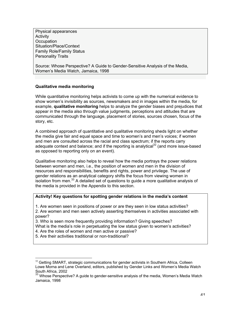Physical appearances **Activity Occupation** Situation/Place/Context Family Role/Family Status Personality Traits

Source: Whose Perspective? A Guide to Gender-Sensitive Analysis of the Media, Women's Media Watch, Jamaica, 1998

# **Qualitative media monitoring**

While quantitative monitoring helps activists to come up with the numerical evidence to show women's invisibility as sources, newsmakers and in images within the media, for example, **qualitative monitoring** helps to analyze the gender biases and prejudices that appear in the media also through value judgments, perceptions and attitudes that are communicated through the language, placement of stories, sources chosen, focus of the story, etc.

A combined approach of quantitative and qualitative monitoring sheds light on whether the media give fair and equal space and time to women's and men's voices; if women and men are consulted across the racial and class spectrum; if the reports carry adequate context and balance; and if the reporting is analytical<sup>32</sup> (and more issue-based as opposed to reporting only on an event).

Qualitative monitoring also helps to reveal how the media portrays the power relations between women and men, i.e., the position of women and men in the division of resources and responsibilities, benefits and rights, power and privilege. The use of gender relations as an analytical category shifts the focus from viewing women in isolation from men.<sup>33</sup> A detailed set of questions to guide a more qualitative analysis of the media is provided in the Appendix to this section.

### **Activity! Key questions for spotting gender relations in the media's content**

1. Are women seen in positions of power or are they seen in low status activities?

2. Are women and men seen actively asserting themselves in activities associated with power?

3. Who is seen more frequently providing information? Giving speeches?

- What is the media's role in perpetuating the low status given to women's activities?
- 4. Are the roles of women and men active or passive?
- 5. Are their activities traditional or non-traditional?

<sup>&</sup>lt;sup>32</sup> Getting SMART, strategic communications for gender activists in Southern Africa, Colleen Lowe Morna and Lene Overland, editors, published by Gender Links and Women's Media Watch South Africa, 2002<br><sup>33</sup> Whose Perspective? A guide to gender-sensitive analysis of the media, Women's Media Watch

Jamaica, 1998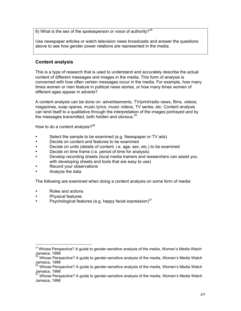6) What is the sex of the spokesperson or voice of authority?<sup>34</sup>

Use newspaper articles or watch television news broadcasts and answer the questions above to see how gender power relations are represented in the media.

# **Content analysis**

This is a type of research that is used to understand and accurately describe the actual content of different messages and images in the media. This form of analysis is concerned with how often certain messages occur in the media. For example, how many times women or men feature in political news stories, or how many times women of different ages appear in adverts?

A content analysis can be done on: advertisements, TV/print/radio news, films, videos, magazines, soap operas, music lyrics, music videos, TV series, etc. Content analysis can lend itself to a qualitative through the interpretation of the images portrayed and by the messages transmitted, both hidden and obvious.<sup>35</sup>

How to do a content analysis? $36$ 

- Select the sample to be examined (e.g. Newspaper or TV ads)
- Decide on content and features to be examined
- Decide on units (details of content, i.e. age, sex, etc.) to be examined
- Decide on time frame (i.e. period of time for analysis)
- Develop recording sheets (local media trainers and researchers can assist you with developing sheets and tools that are easy to use)
- Record your observations
- Analyze the data

The following are examined when doing a content analysis on some form of media:

- Roles and actions
- Physical features
- Psychological features (e.g. happy facial expression) $37$

<sup>&</sup>lt;sup>34</sup> Whose Perspective? A guide to gender-sensitive analysis of the media, Women's Media Watch Jamaica, 1998

 $35$  Whose Perspective? A guide to gender-sensitive analysis of the media, Women's Media Watch Jamaica, 1998<br><sup>36</sup> Whose Perspective? A guide to gender-sensitive analysis of the media, Women's Media Watch

Jamaica, 1998<br><sup>37</sup> Whose Perspective? A guide to gender-sensitive analysis of the media, Women's Media Watch

Jamaica, 1998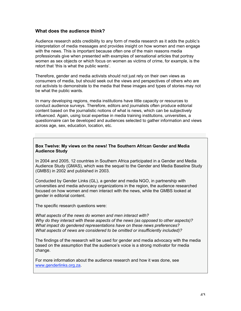# **What does the audience think?**

Audience research adds credibility to any form of media research as it adds the public's interpretation of media messages and provides insight on how women and men engage with the news. This is important because often one of the main reasons media professionals give when presented with examples of sensational articles that portray women as sex objects or which focus on women as victims of crime, for example, is the retort that 'this is what the public wants'.

Therefore, gender and media activists should not just rely on their own views as consumers of media, but should seek out the views and perspectives of others who are not activists to demonstrate to the media that these images and types of stories may not be what the public wants.

In many developing regions, media institutions have little capacity or resources to conduct audience surveys. Therefore, editors and journalists often produce editorial content based on the journalistic notions of what is news, which can be subjectively influenced. Again, using local expertise in media training institutions, universities, a questionnaire can be developed and audiences selected to gather information and views across age, sex, education, location, etc.

### **Box Twelve: My views on the news! The Southern African Gender and Media Audience Study**

In 2004 and 2005, 12 countries in Southern Africa participated in a Gender and Media Audience Study (GMAS), which was the sequel to the Gender and Media Baseline Study (GMBS) in 2002 and published in 2003.

Conducted by Gender Links (GL), a gender and media NGO, in partnership with universities and media advocacy organizations in the region, the audience researched focused on how women and men interact with the news, while the GMBS looked at gender in editorial content.

The specific research questions were:

*What aspects of the news do women and men interact with? Why do they interact with these aspects of the news (as opposed to other aspects)? What impact do gendered representations have on these news preferences? What aspects of news are considered to be omitted or insufficiently included)?*

The findings of the research will be used for gender and media advocacy with the media based on the assumption that the audience's voice is a strong motivator for media change.

For more information about the audience research and how it was done, see www.genderlinks.org.za.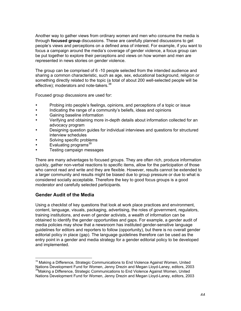Another way to gather views from ordinary women and men who consume the media is through **focused group** discussions. These are carefully planned discussions to get people's views and perceptions on a defined area of interest. For example, if you want to focus a campaign around the media's coverage of gender violence, a focus group can be put together to explore their perceptions and views on how women and men are represented in news stories on gender violence.

The group can be comprised of 6 -10 people selected from the intended audience and sharing a common characteristic, such as age, sex, educational background, religion or something directly related to the topic (a total of about 200 well-selected people will be effective); moderators and note-takers.<sup>38</sup>

Focused group discussions are used for:

- Probing into people's feelings, opinions, and perceptions of a topic or issue
- Indicating the range of a community's beliefs, ideas and opinions
- Gaining baseline information
- Verifying and obtaining more in-depth details about information collected for an advocacy program
- Designing question guides for individual interviews and questions for structured interview schedules
- Solving specific problems
- Evaluating programs<sup>39</sup>
- Testing campaign messages

There are many advantages to focused groups. They are often rich, produce information quickly, gather non-verbal reactions to specific items, allow for the participation of those who cannot read and write and they are flexible. However, results cannot be extended to a larger community and results might be biased due to group pressure or due to what is considered socially acceptable. Therefore the key to good focus groups is a good moderator and carefully selected participants.

# **Gender Audit of the Media**

Using a checklist of key questions that look at work place practices and environment, content, language, visuals, packaging, advertising, the roles of government, regulators, training institutions, and even of gender activists, a wealth of information can be obtained to identify the gender opportunities and gaps. For example, a gender audit of media policies may show that a newsroom has instituted gender-sensitive language guidelines for editors and reporters to follow (opportunity), but there is no overall gender editorial policy in place (gap). The language guidelines therefore can be used as the entry point in a gender and media strategy for a gender editorial policy to be developed and implemented.

<sup>&</sup>lt;sup>38</sup> Making a Difference, Strategic Communications to End Violence Against Women, United Nations Development Fund for Women, Jenny Drezin and Megan Lloyd-Laney, editors, 2003 <sup>39</sup> Making a Difference, Strategic Communications to End Violence Against Women, United Nations Development Fund for Women, Jenny Drezin and Megan Lloyd-Laney, editors, 2003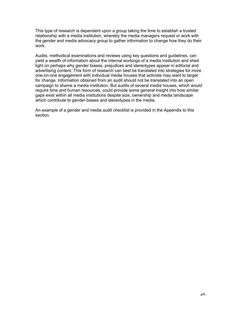This type of research is dependent upon a group taking the time to establish a trusted relationship with a media institution, whereby the media managers request or work with the gender and media advocacy group to gather information to change how they do their work.

Audits, methodical examinations and reviews using key questions and guidelines, can yield a wealth of information about the internal workings of a media institution and shed light on perhaps why gender biases, prejudices and stereotypes appear in editorial and advertising content. This form of research can best be translated into strategies for more one-on-one engagement with individual media houses that activists may want to target for change. Information obtained from an audit should not be translated into an open campaign to shame a media institution. But audits of several media houses, which would require time and human resources, could provide some general insight into how similar gaps exist within all media institutions despite size, ownership and media landscape which contribute to gender biases and stereotypes in the media.

An example of a gender and media audit checklist is provided in the Appendix to this section.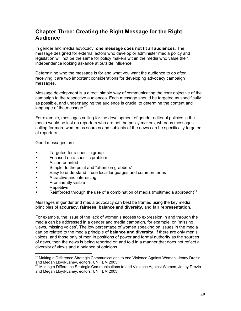# **Chapter Three: Creating the Right Message for the Right Audience**

In gender and media advocacy, **one message does not fit all audiences**. The message designed for external actors who develop or administer media policy and legislation will not be the same for policy makers within the media who value their independence looking askance at outside influence.

Determining who the message is for and what you want the audience to do after receiving it are two important considerations for developing advocacy campaign messages.

Message development is a direct, simple way of communicating the core objective of the campaign to the respective audiences. Each message should be targeted as specifically as possible, and understanding the audience is crucial to determine the content and language of the message.<sup>40</sup>

For example, messages calling for the development of gender editorial policies in the media would be lost on reporters who are not the policy makers, whereas messages calling for more women as sources and subjects of the news can be specifically targeted at reporters.

Good messages are:

- Targeted for a specific group
- Focused on a specific problem
- Action-oriented
- Simple, to the point and "attention grabbers"
- Easy to understand use local languages and common terms
- Attractive and interesting
- Prominently visible
- **Repetitive**
- Reinforced through the use of a combination of media (multimedia approach)<sup>41</sup>

Messages in gender and media advocacy can best be framed using the key media principles of **accuracy**, **fairness, balance and diversity**, and **fair representation**.

For example, the issue of the lack of women's access to expression in and through the media can be addressed in a gender and media campaign, for example, on 'missing views, missing voices'. The low percentage of women speaking on issues in the media can be related to the media principle of **balance and diversity**. If there are only men's voices, and those only of men in positions of power and formal authority as the sources of news, then the news is being reported on and told in a manner that does not reflect a diversity of views and a balance of opinions.

 $40$  Making a Difference Strategic Communications to end Violence Against Women, Jenny Drezin and Megan Lloyd-Laney, editors, UNIFEM 2003

<sup>&</sup>lt;sup>41</sup> Making a Difference Strategic Communications to end Violence Against Women, Jenny Drezin and Megan Lloyd-Laney, editors, UNIFEM 2003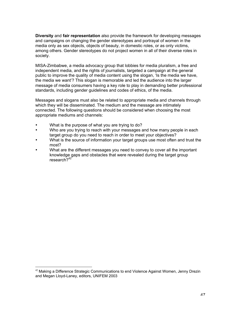**Diversity** and **fair representation** also provide the framework for developing messages and campaigns on changing the gender stereotypes and portrayal of women in the media only as sex objects, objects of beauty, in domestic roles, or as only victims, among others. Gender stereotypes do not project women in all of their diverse roles in society.

MISA-Zimbabwe, a media advocacy group that lobbies for media pluralism, a free and independent media, and the rights of journalists, targeted a campaign at the general public to improve the quality of media content using the slogan, 'Is the media we have, the media we want'? This slogan is memorable and led the audience into the larger message of media consumers having a key role to play in demanding better professional standards, including gender guidelines and codes of ethics, of the media.

Messages and slogans must also be related to appropriate media and channels through which they will be disseminated. The medium and the message are intimately connected. The following questions should be considered when choosing the most appropriate mediums and channels:

- What is the purpose of what you are trying to do?
- Who are you trying to reach with your messages and how many people in each target group do you need to reach in order to meet your objectives?
- What is the source of information your target groups use most often and trust the most?
- What are the different messages you need to convey to cover all the important knowledge gaps and obstacles that were revealed during the target group research?<sup>42</sup>

 $42$  Making a Difference Strategic Communications to end Violence Against Women, Jenny Drezin and Megan Lloyd-Laney, editors, UNIFEM 2003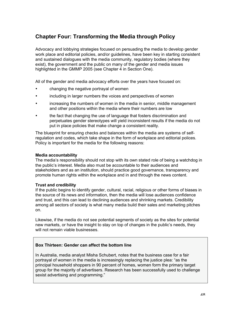# **Chapter Four: Transforming the Media through Policy**

Advocacy and lobbying strategies focused on persuading the media to develop gender work place and editorial policies, and/or guidelines, have been key in starting consistent and sustained dialogues with the media community, regulatory bodies (where they exist), the government and the public on many of the gender and media issues highlighted in the GMMP 2005 (see Chapter 4 in Section One).

All of the gender and media advocacy efforts over the years have focused on:

- changing the negative portrayal of women
- including in larger numbers the voices and perspectives of women
- increasing the numbers of women in the media in senior, middle management and other positions within the media where their numbers are low
- the fact that changing the use of language that fosters discrimination and perpetuates gender stereotypes will yield inconsistent results if the media do not put in place policies that make change a consistent reality.

The blueprint for ensuring checks and balances within the media are systems of selfregulation and codes, which take shape in the form of workplace and editorial polices. Policy is important for the media for the following reasons:

#### **Media accountability**

The media's responsibility should not stop with its own stated role of being a watchdog in the public's interest. Media also must be accountable to their audiences and stakeholders and as an institution, should practice good governance, transparency and promote human rights within the workplace and in and through the news content.

#### **Trust and credibility**

If the public begins to identify gender, cultural, racial, religious or other forms of biases in the source of its news and information, then the media will lose audiences confidence and trust, and this can lead to declining audiences and shrinking markets. Credibility among all sectors of society is what many media build their sales and marketing pitches on.

Likewise, if the media do not see potential segments of society as the sites for potential new markets, or have the insight to stay on top of changes in the public's needs, they will not remain viable businesses.

# **Box Thirteen: Gender can affect the bottom line**

In Australia, media analyst Misha Schubert, notes that the business case for a fair portrayal of women in the media is increasingly replacing the justice plea: "as the principal household shoppers in 90 percent of homes, women form the primary target group for the majority of advertisers. Research has been successfully used to challenge sexist advertising and programming."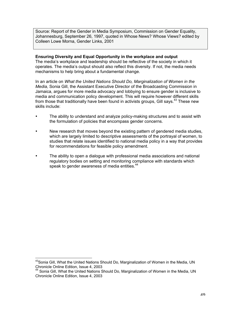Source: Report of the Gender in Media Symposium, Commission on Gender Equality, Johannesburg, September 26, 1997, quoted in Whose News? Whose Views? edited by Colleen Lowe Morna, Gender Links, 2001

#### **Ensuring Diversity and Equal Opportunity in the workplace and output**

The media's workplace and leadership should be reflective of the society in which it operates. The media's output should also reflect this diversity. If not, the media needs mechanisms to help bring about a fundamental change.

In an article on *What the United Nations Should Do, Marginalization of Women in the Media,* Sonia Gill, the Assistant Executive Director of the Broadcasting Commission in Jamaica, argues for more media advocacy and lobbying to ensure gender is inclusive to media and communication policy development. This will require however different skills from those that traditionally have been found in activists groups, Gill says.<sup>43</sup> These new skills include:

- The ability to understand and analyze policy-making structures and to assist with the formulation of policies that encompass gender concerns.
- New research that moves beyond the existing pattern of gendered media studies, which are largely limited to descriptive assessments of the portrayal of women, to studies that relate issues identified to national media policy in a way that provides for recommendations for feasible policy amendment.
- The ability to open a dialogue with professional media associations and national regulatory bodies on setting and monitoring compliance with standards which speak to gender awareness of media entities.<sup>44</sup>

43 Sonia Gill, What the United Nations Should Do, Marginalization of Women in the Media, UN Chronicle Online Edition, Issue 4, 2003 44

Sonia Gill, What the United Nations Should Do, Marginalization of Women in the Media, UN Chronicle Online Edition, Issue 4, 2003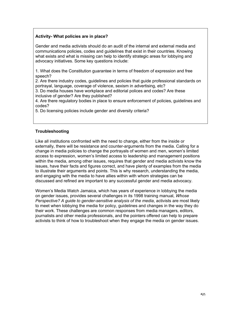# **Activity- What policies are in place?**

Gender and media activists should do an audit of the internal and external media and communications policies, codes and guidelines that exist in their countries. Knowing what exists and what is missing can help to identify strategic areas for lobbying and advocacy initiatives. Some key questions include:

1. What does the Constitution guarantee in terms of freedom of expression and free speech?

2. Are there industry codes, guidelines and policies that guide professional standards on portrayal, language, coverage of violence, sexism in advertising, etc?

3. Do media houses have workplace and editorial polices and codes? Are these inclusive of gender? Are they published?

4. Are there regulatory bodies in place to ensure enforcement of policies, guidelines and codes?

5. Do licensing policies include gender and diversity criteria?

# **Troubleshooting**

Like all institutions confronted with the need to change, either from the inside or externally, there will be resistance and counter-arguments from the media. Calling for a change in media policies to change the portrayals of women and men, women's limited access to expression, women's limited access to leadership and management positions within the media, among other issues, requires that gender and media activists know the issues, have their facts and figures correct, and have plenty of examples from the media to illustrate their arguments and points. This is why research, understanding the media, and engaging with the media to have allies within with whom strategies can be discussed and refined are important to any successful gender and media advocacy.

Women's Media Watch Jamaica, which has years of experience in lobbying the media on gender issues, provides several challenges in its 1998 training manual, *Whose Perspective? A guide to gender-sensitive analysis of the media*, activists are most likely to meet when lobbying the media for policy, guidelines and changes in the way they do their work. These challenges are common responses from media managers, editors, journalists and other media professionals, and the pointers offered can help to prepare activists to think of how to troubleshoot when they engage the media on gender issues.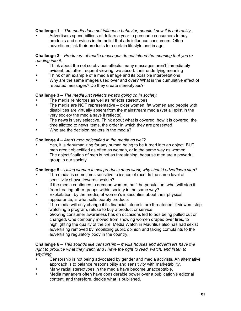**Challenge 1** – *The media does not influence behavior, people know it is not reality.*

• Advertisers spend billions of dollars a year to persuade consumers to buy products and services in the belief that ads influence consumers. Often advertisers link their products to a certain lifestyle and image.

# **Challenge 2** – *Producers of media messages do not intend the meaning that you're reading into it.*

- Think about the not so obvious effects: many messages aren't immediately evident, but after frequent viewing, we absorb their underlying meaning
- Think of an example of a media image and its possible interpretations
- Why are the same images used over and over? What is the cumulative effect of repeated messages? Do they create stereotypes?

# **Challenge 3** – *The media just reflects what's going on in society.*

- The media reinforces as well as reflects stereotypes
- The media are NOT representative older women, fat women and people with disabilities are virtually absent from the mainstream media (yet all exist in the very society the media says it reflects).
- The news is very selective. Think about what is covered, how it is covered, the time allotted to news items, the order in which they are presented
- Who are the decision makers in the media?

# **Challenge 4** – *Aren't men objectified in the media as well?*

- Yes, it is dehumanizing for any human being to be turned into an object. BUT men aren't objectified as often as women, or in the same way as women
- The objectification of men is not as threatening, because men are a powerful group in our society

# **Challenge 5** *– Using women to sell products does work, why should advertisers stop?*

- The media is sometimes sensitive to issues of race. Is the same level of sensitivity shown towards sexism?
- If the media continues to demean women, half the population, what will stop it from treating other groups within society in the same way?
- Exploitation, by the media, of women's insecurities about their physical appearance, is what sells beauty products
- The media will only change if its financial interests are threatened; if viewers stop watching a program, refuse to buy a product or service
- Growing consumer awareness has on occasions led to ads being pulled out or changed. One company moved from showing women draped over tires, to highlighting the quality of the tire. Media Watch in Mauritius also has had sexist advertising removed by mobilizing public opinion and taking complaints to the advertising regulatory body in the country.

#### **Challenge 6** – *This sounds like censorship – media houses and advertisers have the right to produce what they want, and I have the right to read, watch, and listen to anything.*

- Censorship is not being advocated by gender and media activists. An alternative approach is to balance responsibility and sensitivity with marketability.
- Many racial stereotypes in the media have become unacceptable.
- Media managers often have considerable power over a publication's editorial content, and therefore, decide what is published.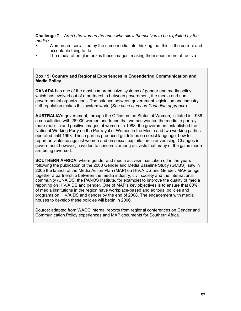**Challenge 7** – *Aren't the women the ones who allow themselves to be exploited by the media?*

- Women are socialized by the same media into thinking that this is the correct and acceptable thing to do
- The media often glamorizes these images, making them seem more attractive.

### **Box 15: Country and Regional Experiences in Engendering Communication and Media Policy**

**CANADA** has one of the most comprehensive systems of gender and media policy, which has evolved out of a partnership between government, the media and nongovernmental organizations. The balance between government legislation and industry self-regulation makes this system work. (*See case study on Canadian approach*)

**AUSTRALIA's** government, through the Office on the Status of Women, initiated in 1986 a consultation with 26,000 women and found that women wanted the media to portray more realistic and positive images of women. In 1988, the government established the National Working Party on the Portrayal of Women in the Media and two working parties operated until 1993. These parties produced guidelines on sexist language, how to report on violence against women and on sexual exploitation in advertising. Changes in government however, have led to concerns among activists that many of the gains made are being reversed.

**SOUTHERN AFRICA**, where gender and media activism has taken off in the years following the publication of the 2003 Gender and Media Baseline Study (GMBS), saw in 2005 the launch of the Media Action Plan (MAP) on HIV/AIDS and Gender. MAP brings together a partnership between the media industry, civil society and the international community (UNAIDS, the PANOS Institute, for example) to improve the quality of media reporting on HIV/AIDS and gender. One of MAP's key objectives is to ensure that 80% of media institutions in the region have workplace-based and editorial policies and programs on HIV/AIDS and gender by the end of 2008. The engagement with media houses to develop these policies will begin in 2006.

Source: adapted from WACC internal reports from regional conferences on Gender and Communication Policy experiences and MAP documents for Southern Africa.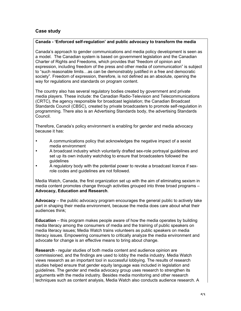# **Case study**

# **Canada - 'Enforced self-regulation' and public advocacy to transform the media**

Canada's approach to gender communications and media policy development is seen as a model. The Canadian system is based on government legislation and the Canadian Charter of Rights and Freedoms, which provides that "freedom of opinion and expression, including freedom of the press and other media of communication" is subject to "such reasonable limits…as can be demonstrably justified in a free and democratic society". Freedom of expression, therefore, is not defined as an absolute, opening the way for regulations and standards on program content.

The country also has several regulatory bodies created by government and private media players. These include: the Canadian Radio-Television and Telecommunications (CRTC), the agency responsible for broadcast legislation; the Canadian Broadcast Standards Council (CBSC), created by private broadcasters to promote self-regulation in programming. There also is an Advertising Standards body, the advertising Standards Council.

Therefore, Canada's policy environment is enabling for gender and media advocacy because it has:

- A communications policy that acknowledges the negative impact of a sexist media environment
- A broadcast industry which voluntarily drafted sex-role portrayal guidelines and set up its own industry watchdog to ensure that broadcasters followed the guidelines
- A regulatory body with the potential power to revoke a broadcast licence if sexrole codes and guidelines are not followed.

Media Watch, Canada, the first organization set up with the aim of eliminating sexism in media content promotes change through activities grouped into three broad programs – **Advocacy, Education and Research**.

**Advocacy** – the public advocacy program encourages the general public to actively take part in shaping their media environment, because the media does care about what their audiences think;

**Education** – this program makes people aware of how the media operates by building media literacy among the consumers of media and the training of public speakers on media literacy issues; Media Watch trains volunteers as public speakers on media literacy issues. Empowering consumers to critically analyze the media environment and advocate for change is an effective means to bring about change.

**Research** - regular studies of both media content and audience opinion are commissioned, and the findings are used to lobby the media industry. Media Watch views research as an important tool in successful lobbying. The results of research studies helped ensure that gender equity language was included in legislation and guidelines. The gender and media advocacy group uses research to strengthen its arguments with the media industry. Besides media monitoring and other research techniques such as content analysis, Media Watch also conducts audience research. A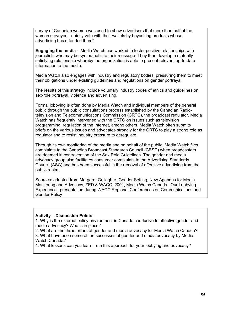survey of Canadian women was used to show advertisers that more than half of the women surveyed, "quietly vote with their wallets by boycotting products whose advertising has offended them".

**Engaging the media** – Media Watch has worked to foster positive relationships with journalists who may be sympathetic to their message. They then develop a mutually satisfying relationship whereby the organization is able to present relevant up-to-date information to the media.

Media Watch also engages with industry and regulatory bodies, pressuring them to meet their obligations under existing guidelines and regulations on gender portrayal.

The results of this strategy include voluntary industry codes of ethics and guidelines on sex-role portrayal, violence and advertising.

Formal lobbying is often done by Media Watch and individual members of the general public through the public consultations process established by the Canadian Radiotelevision and Telecommunications Commission (CRTC), the broadcast regulator. Media Watch has frequently intervened with the CRTC on issues such as television programming, regulation of the Internet, among others. Media Watch often submits briefs on the various issues and advocates strongly for the CRTC to play a strong role as regulator and to resist industry pressure to deregulate.

Through its own monitoring of the media and on behalf of the public, Media Watch files complaints to the Canadian Broadcast Standards Council (CBSC) when broadcasters are deemed in contravention of the Sex Role Guidelines. The gender and media advocacy group also facilitates consumer complaints to the Advertising Standards Council (ASC) and has been successful in the removal of offensive advertising from the public realm.

Sources: adapted from Margaret Gallagher, Gender Setting, New Agendas for Media Monitoring and Advocacy, ZED & WACC, 2001, Media Watch Canada, 'Our Lobbying Experience', presentation during WACC Regional Conferences on Communications and Gender Policy

#### **Activity – Discussion Points!**

1. Why is the external policy environment in Canada conducive to effective gender and media advocacy? What's in place?

2. What are the three pillars of gender and media advocacy for Media Watch Canada? 3. What have been some of the successes of gender and media advocacy by Media Watch Canada?

4. What lessons can you learn from this approach for your lobbying and advocacy?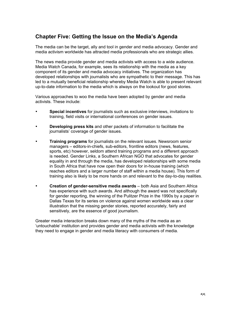# **Chapter Five: Getting the Issue on the Media's Agenda**

The media can be the target, ally and tool in gender and media advocacy. Gender and media activism worldwide has attracted media professionals who are strategic allies.

The news media provide gender and media activists with access to a wide audience. Media Watch Canada, for example, sees its relationship with the media as a key component of its gender and media advocacy initiatives. The organization has developed relationships with journalists who are sympathetic to their message. This has led to a mutually beneficial relationship whereby Media Watch is able to present relevant up-to-date information to the media which is always on the lookout for good stories.

Various approaches to woo the media have been adopted by gender and media activists. These include:

- **Special incentives** for journalists such as exclusive interviews, invitations to training, field visits or international conferences on gender issues.
- **Developing press kits** and other packets of information to facilitate the journalists' coverage of gender issues.
- **Training programs** for journalists on the relevant issues. Newsroom senior managers – editors-in-chiefs, sub-editors, frontline editors (news, features, sports, etc) however, seldom attend training programs and a different approach is needed. Gender Links, a Southern African NGO that advocates for gender equality in and through the media, has developed relationships with some media in South Africa that have now open their doors for in-house training (which reaches editors and a larger number of staff within a media house). This form of training also is likely to be more hands on and relevant to the day-to-day realities.
- **Creation of gender-sensitive media awards** both Asia and Southern Africa has experience with such awards. And although the award was not specifically for gender reporting, the winning of the Pulitzer Prize in the 1990s by a paper in Dallas Texas for its series on violence against women worldwide was a clear illustration that the missing gender stories, reported accurately, fairly and sensitively, are the essence of good journalism.

Greater media interaction breaks down many of the myths of the media as an 'untouchable' institution and provides gender and media activists with the knowledge they need to engage in gender and media literacy with consumers of media.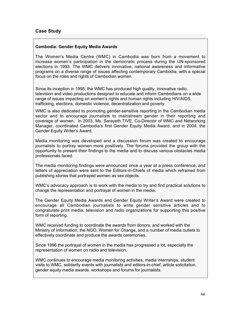# **Case Study**

#### **Cambodia: Gender Equity Media Awards**

The Women's Media Centre (WMC) in Cambodia was born from a movement to increase women's participation in the democratic process during the UN-sponsored elections in 1993. The WMC delivers innovative, national awareness and informative programs on a diverse range of issues affecting contemporary Cambodia, with a special focus on the roles and rights of Cambodian women.

Since its inception in 1995, the WMC has produced high quality, innovative radio, television and video productions designed to educate and inform Cambodians on a wide range of issues impacting on women's rights and human rights including HIV/AIDS, trafficking, elections, domestic violence, decentralization and poverty.

WMC is also dedicated to promoting gender-sensitive reporting in the Cambodian media sector and to encourage journalists to mainstream gender in their reporting and coverage of women. In 2003, Ms. Sarayeth TIVE, Co-Director of WMC and Networking Manager, coordinated Cambodia's first Gender Equity Media Award, and in 2004, the Gender Equity Writer's Award.

Media monitoring was developed and a discussion forum was created to encourage journalists to portray women more positively. The forums provided the group with the opportunity to present their findings to the media and to discuss various obstacles media professionals faced.

The media monitoring findings were announced once a year at a press conference, and letters of appreciation were sent to the Editors-in-Chiefs of media which refrained from publishing stories that portrayed women as sex objects.

WMC's advocacy approach is to work with the media to try and find practical solutions to change the representation and portrayal of women in the media.

The Gender Equity Media Awards and Gender Equity Writer's Award were created to encourage all Cambodian journalists to write gender sensitive articles and to congratulate print media, television and radio organizations for supporting this positive form of reporting.

WMC received funding to coordinate the awards from donors, and worked with the Ministry of Information, the NGO, Women for Change, and a number of media outlets to effectively coordinate and produce the awards ceremonies.

Since 1996 the portrayal of women in the media has progressed a lot, especially the representation of women on radio and television.

WMC continues to encourage media monitoring activities, media internships, student visits to WMC, solidarity events with journalists and editors-in-chief, article solicitation, gender equity media awards, workshops and forums for journalists.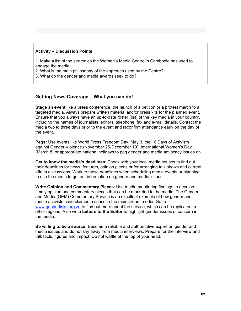#### **Activity – Discussion Points!**

1. Make a list of the strategies the Women's Media Centre in Cambodia has used to engage the media.

2. What is the main philosophy of the approach used by the Centre?

3. What do the gender and media awards seek to do?

# **Getting News Coverage – What you can do!**

**Stage an event** like a press conference, the launch of a petition or a protest march to a targeted media. Always prepare written material and/or press kits for the planned event. Ensure that you always have an up-to-date roster (list) of the key media in your country, including the names of journalists, editors, telephone, fax and e-mail details. Contact the media two to three days prior to the event and reconfirm attendance early on the day of the event.

**Pegs:** Use events like World Press Freedom Day, May 3, the 16 Days of Activism against Gender Violence (November 25-December 10), International Women's Day (March 8) or appropriate national holidays to peg gender and media advocacy issues on.

**Get to know the media's deadlines**: Check with your local media houses to find out their deadlines for news, features, opinion pieces or for arranging talk shows and current affairs discussions. Work to these deadlines when scheduling media events or planning to use the media to get out information on gender and media issues.

**Write Opinion and Commentary Pieces**: Use media monitoring findings to develop timely opinion and commentary pieces that can be marketed to the media. The Gender and Media (GEM) Commentary Service is an excellent example of how gender and media activists have claimed a space in the mainstream media. Go to www.genderlinks.org.za to find out more about the service, which can be replicated in other regions. Also write **Letters to the Editor** to highlight gender issues of concern in the media.

**Be willing to be a source:** Become a reliable and authoritative expert on gender and media issues and do not shy away from media interviews. Prepare for the interview and talk facts, figures and impact. Do not waffle of the top of your head.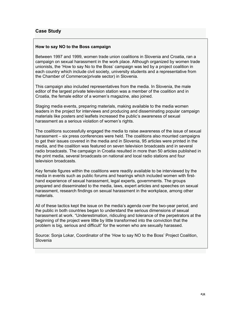# **Case Study**

### **How to say NO to the Boss campaign**

Between 1997 and 1999, women trade union coalitions in Slovenia and Croatia, ran a campaign on sexual harassment in the work place. Although organized by women trade unionists, the 'How to say No to the Boss' campaign was led by a project coalition in each country which include civil society, university students and a representative from the Chamber of Commerce(private sector) in Slovenia.

This campaign also included representatives from the media. In Slovenia, the male editor of the largest private television station was a member of the coalition and in Croatia, the female editor of a women's magazine, also joined.

Staging media events, preparing materials, making available to the media women leaders in the project for interviews and producing and disseminating popular campaign materials like posters and leaflets increased the public's awareness of sexual harassment as a serious violation of women's rights.

The coalitions successfully engaged the media to raise awareness of the issue of sexual harassment – six press conferences were held. The coalitions also mounted campaigns to get their issues covered in the media and in Slovenia, 95 articles were printed in the media, and the coalition was featured on seven television broadcasts and in several radio broadcasts. The campaign in Croatia resulted in more than 50 articles published in the print media, several broadcasts on national and local radio stations and four television broadcasts.

Key female figures within the coalitions were readily available to be interviewed by the media in events such as public forums and hearings which included women with firsthand experience of sexual harassment, legal experts, governments. The groups prepared and disseminated to the media, laws, expert articles and speeches on sexual harassment, research findings on sexual harassment in the workplace, among other materials.

All of these tactics kept the issue on the media's agenda over the two-year period, and the public in both countries began to understand the serious dimensions of sexual harassment at work. "Underestimation, ridiculing and tolerance of the perpetrators at the beginning of the project were little by little transformed into the conviction that the problem is big, serious and difficult" for the women who are sexually harassed.

Source: Sonja Lokar, Coordinator of the 'How to say NO to the Boss' Project Coalition, Slovenia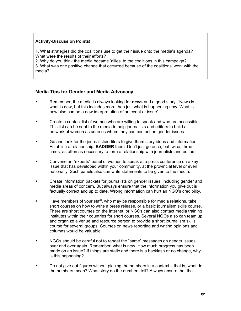# **Activity-Discussion Points!**

1. What strategies did the coalitions use to get their issue onto the media's agenda? What were the results of their efforts?

2. Why do you think the media became 'allies' to the coalitions in this campaign? 3. What was one positive change that occurred because of the coalitions' work with the media?

# **Media Tips for Gender and Media Advocacy**

- Remember, the media is always looking for **news** and a good story. "News is what is new, but this includes more than just what is happening now. What is new also can be a new interpretation of an event or issue".
- Create a contact list of women who are willing to speak and who are accessible. This list can be sent to the media to help journalists and editors to build a network of women as sources whom they can contact on gender issues.
- Go and look for the journalists/editors to give them story ideas and information. Establish a relationship. **BADGER** them. Don't just go once, but twice, three times, as often as necessary to form a relationship with journalists and editors.
- Convene an "experts" panel of women to speak at a press conference on a key issue that has developed within your community, at the provincial level or even nationally. Such panels also can write statements to be given to the media.
- Create information packets for journalists on gender issues, including gender and media areas of concern. But always ensure that the information you give out is factually correct and up to date. Wrong information can hurt an NGO's credibility.
- Have members of your staff, who may be responsible for media relations, take short courses on how to write a press release, or a basic journalism skills course. There are short courses on the Internet, or NGOs can also contact media training institutes within their countries for short courses. Several NGOs also can team up and organize a venue and resource person to provide a short journalism skills course for several groups. Courses on news reporting and writing opinions and columns would be valuable.
- NGOs should be careful not to repeat the "same" messages on gender issues over and over again. Remember, what is new. How much progress has been made on an issue? If things are static and there is a backlash or no change, why is this happening?
- Do not give out figures without placing the numbers in a context that is, what do the numbers mean? What story do the numbers tell? Always ensure that the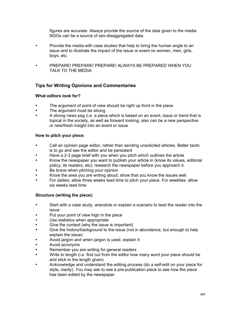figures are accurate. Always provide the source of the data given to the media. NGOs can be a source of sex-disaggregated data.

- Provide the media with case studies that help to bring the human angle to an issue and to illustrate the impact of the issue or event on women, men, girls, boys, etc.
- PREPARE! PREPARE! PREPARE! ALWAYS BE PREPARED WHEN YOU TALK TO THE MEDIA

# **Tips for Writing Opinions and Commentaries**

# **What editors look for?**

- The argument of point of view should be right up front in the piece
- The argument must be strong
- A strong news peg (i.e. a piece which is based on an event, issue or trend that is topical in the society, as well as forward looking; also can be a new perspective or new/fresh insight into an event or issue

# **How to pitch your piece:**

- Call an opinion page editor, rather than sending unsolicited articles. Better tactic is to go and see the editor and be persistent
- Have a 2-3 page brief with you when you pitch which outlines the article
- Know the newspaper you want to publish your article in (know its values, editorial policy, its readers, etc); research the newspaper before you approach it.
- Be brave when pitching your opinion
- Know the area you are writing about; show that you know the issues well.
- For dailies: allow three weeks lead time to pitch your piece. For weeklies: allow six weeks lead time

# **Structure (writing the piece):**

- Start with a case study, anecdote or explain a scenario to lead the reader into the issue
- Put your point of view high in the piece
- Use statistics when appropriate
- Give the context (why the issue is important)
- Give the history/background to the issue (not in abundance, but enough to help explain the issue)
- Avoid jargon and when jargon is used, explain it
- Avoid acronyms
- Remember you are writing for general readers
- Write to length (i.e. find out from the editor how many word your piece should be and stick to the length given)
- Acknowledge and understand the editing process (do a self-edit on your piece for style, clarity). You may ask to see a pre-publication piece to see how the piece has been edited by the newspaper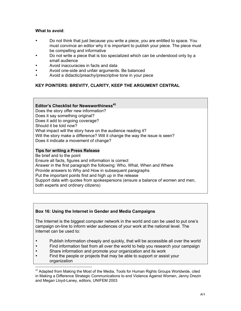# **What to avoid**:

- Do not think that just because you write a piece, you are entitled to space. You must convince an editor why it is important to publish your piece. The piece must be compelling and informative
- Do not write a piece that is too specialized which can be understood only by a small audience
- Avoid inaccuracies in facts and data
- Avoid one-side and unfair arguments. Be balanced
- Avoid a didactic/preachy/prescriptive tone in your piece

# **KEY POINTERS: BREVITY, CLARITY, KEEP THE ARGUMENT CENTRAL**

### **Editor's Checklist for Newsworthiness<sup>45</sup>** Does the story offer new information? Does it say something original? Does it add to ongoing coverage? Should it be told now? What impact will the story have on the audience reading it? Will the story make a difference? Will it change the way the issue is seen? Does it indicate a movement of change?

### **Tips for writing a Press Release**

Be brief and to the point Ensure all facts, figures and information is correct Answer in the first paragraph the following: Who, What, When and Where Provide answers to Why and How in subsequent paragraphs Put the important points first and high up in the release Support data with quotes from spokespersons (ensure a balance of women and men, both experts and ordinary citizens)

# **Box 16: Using the Internet in Gender and Media Campaigns**

The Internet is the biggest computer network in the world and can be used to put one's campaign on-line to inform wider audiences of your work at the national level. The Internet can be used to:

- Publish information cheaply and quickly, that will be accessible all over the world
- Find information fast from all over the world to help you research your campaign
- Share information and promote your organization and its work<br>• Find the people or projects that may be able to support or assign
- Find the people or projects that may be able to support or assist your organization

 $45$  Adapted from Making the Most of the Media, Tools for Human Rights Groups Worldwide, cited in Making a Difference Strategic Communications to end Violence Against Women, Jenny Drezin and Megan Lloyd-Laney, editors, UNIFEM 2003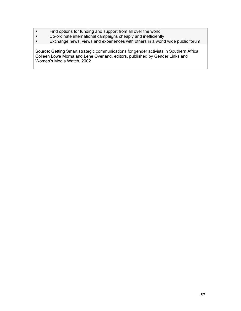- Find options for funding and support from all over the world<br>• Co-ordinate international campaigns cheaply and inefficient
- Co-ordinate international campaigns cheaply and inefficiently<br>• Exchange news, views and experiences with others in a world
- Exchange news, views and experiences with others in a world wide public forum

Source: Getting Smart strategic communications for gender activists in Southern Africa, Colleen Lowe Morna and Lene Overland, editors, published by Gender Links and Women's Media Watch, 2002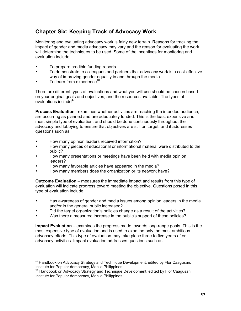# **Chapter Six: Keeping Track of Advocacy Work**

Monitoring and evaluating advocacy work is fairly new terrain. Reasons for tracking the impact of gender and media advocacy may vary and the reason for evaluating the work will determine the techniques to be used. Some of the incentives for monitoring and evaluation include:

- To prepare credible funding reports
- To demonstrate to colleagues and partners that advocacy work is a cost-effective way of improving gender equality in and through the media
- To learn from experience $46$

There are different types of evaluations and what you will use should be chosen based on your original goals and objectives, and the resources available. The types of evaluations include<sup>47</sup>:

**Process Evaluation** –examines whether activities are reaching the intended audience, are occurring as planned and are adequately funded. This is the least expensive and most simple type of evaluation, and should be done continuously throughout the advocacy and lobbying to ensure that objectives are still on target, and it addresses questions such as:

- How many opinion leaders received information?
- How many pieces of educational or informational material were distributed to the public?
- How many presentations or meetings have been held with media opinion leaders?
- How many favorable articles have appeared in the media?
- How many members does the organization or its network have?

**Outcome Evaluation** – measures the immediate impact and results from this type of evaluation will indicate progress toward meeting the objective. Questions posed in this type of evaluation include:

- Has awareness of gender and media issues among opinion leaders in the media and/or in the general public increased?
- Did the target organization's policies change as a result of the activities?
- Was there a measured increase in the public's support of these policies?

**Impact Evaluation** – examines the progress made towards long-range goals. This is the most expensive type of evaluation and is used to examine only the most ambitious advocacy efforts. This type of evaluation may take place three to five years after advocacy activities. Impact evaluation addresses questions such as:

<sup>&</sup>lt;sup>46</sup> Handbook on Advocacy Strategy and Technique Development, edited by Flor Caagusan, Institute for Popular democracy, Manila Philippines

<sup>&</sup>lt;sup>47</sup> Handbook on Advocacy Strategy and Technique Development, edited by Flor Caagusan, Institute for Popular democracy, Manila Philippines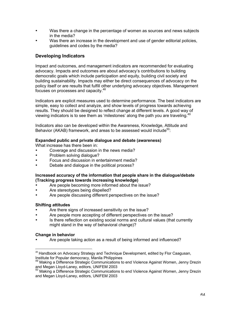- Was there a change in the percentage of women as sources and news subjects in the media?
- Was there an increase in the development and use of gender editorial policies, guidelines and codes by the media?

# **Developing Indicators**

Impact and outcomes, and management indicators are recommended for evaluating advocacy. Impacts and outcomes are about advocacy's contributions to building democratic goals which include participation and equity, building civil society and building sustainability. Impacts may either be direct consequences of advocacy on the policy itself or are results that fulfill other underlying advocacy objectives. Management focuses on processes and capacity.<sup>48</sup>

Indicators are explicit measures used to determine performance. The best indicators are simple, easy to collect and analyze, and show levels of progress towards achieving results. They should be designed to reflect change at different levels. A good way of viewing indicators is to see them as 'milestones' along the path you are traveling.<sup>4</sup>

Indicators also can be developed within the Awareness, Knowledge, Attitude and Behavior (AKAB) framework, and areas to be assessed would include<sup>50</sup>:

# **Expanded public and private dialogue and debate (awareness)**

What increase has there been in:

- Coverage and discussion in the news media?
- Problem solving dialogue?
- Focus and discussion in entertainment media?
- Debate and dialogue in the political process?

### **Increased accuracy of the information that people share in the dialogue/debate (Tracking progress towards increasing knowledge)**

- Are people becoming more informed about the issue?
- Are stereotypes being dispelled?
- Are people discussing different perspectives on the issue?

# **Shifting attitudes**

- Are there signs of increased sensitivity on the issue?
- Are people more accepting of different perspectives on the issue?
- Is there reflection on existing social norms and cultural values (that currently might stand in the way of behavioral change)?

#### **Change in behavior**

• Are people taking action as a result of being informed and influenced?

 $48$  Handbook on Advocacy Strategy and Technique Development, edited by Flor Caagusan, Institute for Popular democracy, Manila Philippines

<sup>&</sup>lt;sup>49</sup> Making a Difference Strategic Communications to end Violence Against Women, Jenny Drezin

and Megan Lloyd-Laney, editors, UNIFEM 2003<br><sup>50</sup> Making a Difference Strategic Communications to end Violence Against Women, Jenny Drezin and Megan Lloyd-Laney, editors, UNIFEM 2003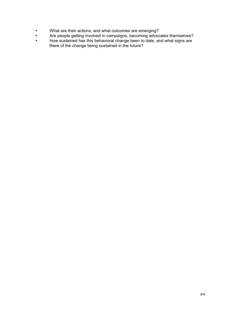- What are their actions, and what outcomes are emerging?
- Are people getting involved in campaigns, becoming advocates themselves?
- How sustained has this behavioral change been to date, and what signs are there of the change being sustained in the future?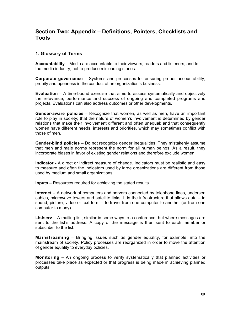# **Section Two: Appendix – Definitions, Pointers, Checklists and Tools**

# **1. Glossary of Terms**

**Accountability –** Media are accountable to their viewers, readers and listeners, and to the media industry, not to produce misleading stories.

**Corporate governance** – Systems and processes for ensuring proper accountability, probity and openness in the conduct of an organization's business.

**Evaluation** – A time-bound exercise that aims to assess systematically and objectively the relevance, performance and success of ongoing and completed programs and projects. Evaluations can also address outcomes or other developments.

**Gender-aware policies** – Recognize that women, as well as men, have an important role to play in society; that the nature of women's involvement is determined by gender relations that make their involvement different and often unequal; and that consequently women have different needs, interests and priorities, which may sometimes conflict with those of men.

**Gender-blind policies** – Do not recognize gender inequalities. They mistakenly assume that men and male norms represent the norm for all human beings. As a result, they incorporate biases in favor of existing gender relations and therefore exclude women.

**Indicator -** A direct or indirect measure of change. Indicators must be realistic and easy to measure and often the indicators used by large organizations are different from those used by medium and small organizations.

**Inputs** – Resources required for achieving the stated results.

**Internet** – A network of computers and servers connected by telephone lines, undersea cables, microwave towers and satellite links. It is the infrastructure that allows data – in sound, picture, video or text form – to travel from one computer to another (or from one computer to many)

**Listserv** – A mailing list, similar in some ways to a conference, but where messages are sent to the list's address. A copy of the message is then sent to each member or subscriber to the list.

**Mainstreaming** – Bringing issues such as gender equality, for example, into the mainstream of society. Policy processes are reorganized in order to move the attention of gender equality to everyday policies.

**Monitoring** – An ongoing process to verify systematically that planned activities or processes take place as expected or that progress is being made in achieving planned outputs.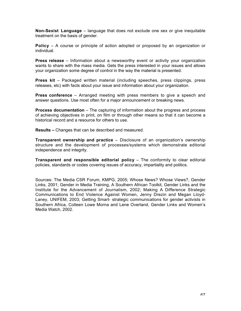**Non-Sexist Language** – language that does not exclude one sex or give inequitable treatment on the basis of gender.

**Policy** – A course or principle of action adopted or proposed by an organization or individual.

**Press release** – Information about a newsworthy event or activity your organization wants to share with the mass media. Gets the press interested in your issues and allows your organization some degree of control in the way the material is presented.

**Press kit** – Packaged written material (including speeches, press clippings, press releases, etc) with facts about your issue and information about your organization.

**Press conference** – Arranged meeting with press members to give a speech and answer questions. Use most often for a major announcement or breaking news.

**Process documentation** – The capturing of information about the progress and process of achieving objectives in print, on film or through other means so that it can become a historical record and a resource for others to use.

**Results –** Changes that can be described and measured.

**Transparent ownership and practice** – Disclosure of an organization's ownership structure and the development of processes/systems which demonstrate editorial independence and integrity.

**Transparent and responsible editorial policy** – The conformity to clear editorial policies, standards or codes covering issues of accuracy, impartiality and politics.

Sources: The Media CSR Forum, KMPG, 2005; Whose News? Whose Views?, Gender Links, 2001; Gender in Media Training, A Southern African Toolkit, Gender Links and the Institute for the Advancement of Journalism, 2002; Making A Difference Strategic Communications to End Violence Against Women, Jenny Drezin and Megan Lloyd-Laney, UNIFEM, 2003; Getting Smart- strategic communications for gender activists in Southern Africa, Colleen Lowe Morna and Lene Overland, Gender Links and Women's Media Watch, 2002.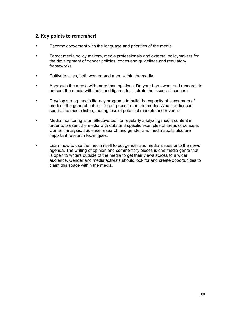# **2. Key points to remember!**

- Become conversant with the language and priorities of the media.
- Target media policy makers, media professionals and external policymakers for the development of gender policies, codes and guidelines and regulatory frameworks.
- Cultivate allies, both women and men, within the media.
- Approach the media with more than opinions. Do your homework and research to present the media with facts and figures to illustrate the issues of concern.
- Develop strong media literacy programs to build the capacity of consumers of media – the general public – to put pressure on the media. When audiences speak, the media listen, fearing loss of potential markets and revenue.
- Media monitoring is an effective tool for regularly analyzing media content in order to present the media with data and specific examples of areas of concern. Content analysis, audience research and gender and media audits also are important research techniques.
- Learn how to use the media itself to put gender and media issues onto the news agenda. The writing of opinion and commentary pieces is one media genre that is open to writers outside of the media to get their views across to a wider audience. Gender and media activists should look for and create opportunities to claim this space within the media.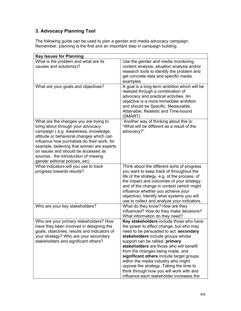# **3. Advocacy Planning Tool**

The following guide can be used to plan a gender and media advocacy campaign. Remember, planning is the first and an important step in campaign building.

| <b>Key Issues for Planning</b>                                                                                                                                                                                                                                                                                                                                                 |                                                                                                                                                                                                                                                                                                                                                                                                                                                                                                           |  |  |
|--------------------------------------------------------------------------------------------------------------------------------------------------------------------------------------------------------------------------------------------------------------------------------------------------------------------------------------------------------------------------------|-----------------------------------------------------------------------------------------------------------------------------------------------------------------------------------------------------------------------------------------------------------------------------------------------------------------------------------------------------------------------------------------------------------------------------------------------------------------------------------------------------------|--|--|
| What is the problem and what are its<br>causes and solution(s)?                                                                                                                                                                                                                                                                                                                | Use the gender and media monitoring,<br>content analysis, situation analysis and/or<br>research tools to identify the problem and<br>get concrete data and specific media<br>examples                                                                                                                                                                                                                                                                                                                     |  |  |
| What are your goals and objectives?                                                                                                                                                                                                                                                                                                                                            | A goal is a long-term ambition which will be<br>realized through a combination of<br>advocacy and practical activities. An<br>objective is a more immediate ambition<br>and should be Specific, Measurable,<br>Attainable, Realistic and Time-bound<br>(SMART)                                                                                                                                                                                                                                            |  |  |
| What are the changes you are trying to<br>bring about through your advocacy<br>campaign (e.g. Awareness, knowledge,<br>attitude or behavioral changes which can<br>influence how journalists do their work, for<br>example, believing that women are experts<br>on issues and should be accessed as<br>sources, the introduction of missing<br>gender editorial policies, etc) | Another way of thinking about this is:<br>"What will be different as a result of the<br>advocacy?"                                                                                                                                                                                                                                                                                                                                                                                                        |  |  |
| What indicators will you use to track<br>progress towards results?                                                                                                                                                                                                                                                                                                             | Think about the different sorts of progress<br>you want to keep track of throughout the<br>life of the strategy, e.g. of the process, of<br>the impact and outcomes of your strategy,<br>and of the change in context (which might<br>influence whether you achieve your<br>objective). Identify what systems you will<br>use to collect and analyze your indicators.                                                                                                                                     |  |  |
| Who are your key stakeholders?                                                                                                                                                                                                                                                                                                                                                 | What do they know? How are they<br>influenced? How do they make decisions?<br>What information do they need?                                                                                                                                                                                                                                                                                                                                                                                              |  |  |
| Who are your primary stakeholders? How<br>have they been involved in designing the<br>goals, objectives, results and indicators of<br>your strategy? Who are your secondary<br>stakeholders and significant others?                                                                                                                                                            | Key stakeholders include those who have<br>the power to effect change, but who may<br>need to be persuaded to act; secondary<br>stakeholders include groups whose<br>support can be rallied, primary<br>stakeholders are those who will benefit<br>from the changes being made, and<br>significant others include target groups<br>within the media industry who might<br>oppose the strategy. Taking the time to<br>think through how you will work with and<br>influence each stakeholder increases the |  |  |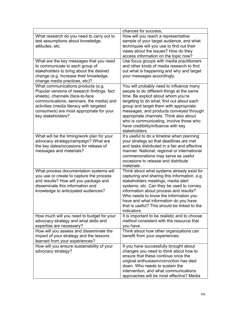|                                                                                                                                                                                                                                                                               | chances for success.                                                                                                                                                                                                                                                                                                                                                                                        |
|-------------------------------------------------------------------------------------------------------------------------------------------------------------------------------------------------------------------------------------------------------------------------------|-------------------------------------------------------------------------------------------------------------------------------------------------------------------------------------------------------------------------------------------------------------------------------------------------------------------------------------------------------------------------------------------------------------|
| What research do you need to carry out to<br>test assumptions about knowledge,<br>attitudes, etc.                                                                                                                                                                             | How will you reach a representative<br>sample of your target audience, and what<br>techniques will you use to find out their<br>views about the issues? How do they<br>access information on the topic now?                                                                                                                                                                                                 |
| What are the key messages that you need<br>to communicate to each group of<br>stakeholders to bring about the desired<br>change (e.g. Increase their knowledge,<br>change media practices, etc)?                                                                              | Use focus groups with media practitioners<br>and other kinds of media research to find<br>out what is happening and why and target<br>your messages accordingly.                                                                                                                                                                                                                                            |
| What communications products (e.g.<br>Popular versions of research findings, fact<br>sheets), channels (face-to-face<br>communications, seminars, the media) and<br>activities (media literacy with targeted<br>consumers) are most appropriate for your<br>key stakeholders? | You will probably need to influence many<br>people to do different things at the same<br>time. Be explicit about whom you're<br>targeting to do what; find out about each<br>group and target them with appropriate<br>messages, and products conveyed through<br>appropriate channels. Think also about<br>who is communicating, involve those who<br>have credibility/influence with key<br>stakeholders. |
| What will be the timing/work plan for your<br>advocacy strategy/campaign? What are<br>the key dates/occasions for release of<br>messages and materials?                                                                                                                       | It's useful to do a timeline when planning<br>your strategy so that deadlines are met<br>and tasks distributed in a fair and effective<br>manner. National, regional or international<br>commemorations may serve as useful<br>occasions to release and distribute<br>materials.                                                                                                                            |
| What process documentation systems will<br>you use or create to capture the process<br>and results? How will you package and<br>disseminate this information and<br>knowledge to anticipated audiences?                                                                       | Think about what systems already exist for<br>capturing and sharing this information, e.g.<br>stakeholders meetings, media alert<br>systems, etc. Can they be used to convey<br>information about process and results?<br>Who needs to know the information you<br>have and what information do you have<br>that is useful? This should be linked to the<br>indicators.                                     |
| How much will you need to budget for your<br>advocacy strategy and what skills and<br>expertise are necessary?                                                                                                                                                                | It is important to be realistic and to choose<br>method consistent with the resource that<br>you have.                                                                                                                                                                                                                                                                                                      |
| How will you assess and disseminate the<br>impact of your strategy and the lessons<br>learned from your experiences?                                                                                                                                                          | Think about how other organizations can<br>benefit from your experiences.                                                                                                                                                                                                                                                                                                                                   |
| How will you ensure sustainability of your<br>advocacy strategy?                                                                                                                                                                                                              | If you have successfully brought about<br>changes you need to think about how to<br>ensure that these continue once the<br>original enthusiasm/conviction has died<br>down. Who needs to sustain the<br>intervention, and what communications<br>approaches will be most effective? Media                                                                                                                   |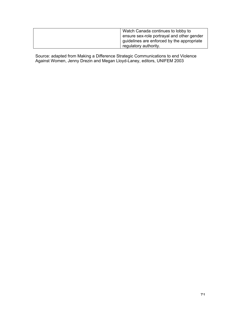| Watch Canada continues to lobby to         |  |
|--------------------------------------------|--|
| ensure sex-role portrayal and other gender |  |
| guidelines are enforced by the appropriate |  |
| regulatory authority.                      |  |

Source: adapted from Making a Difference Strategic Communications to end Violence Against Women, Jenny Drezin and Megan Lloyd-Laney, editors, UNIFEM 2003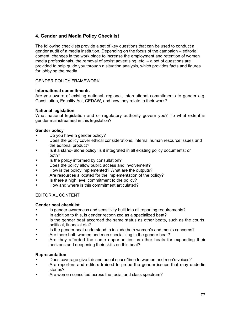# **4. Gender and Media Policy Checklist**

The following checklists provide a set of key questions that can be used to conduct a gender audit of a media institution. Depending on the focus of the campaign – editorial content, changes in the work place to increase the employment and retention of women media professionals, the removal of sexist advertising, etc. – a set of questions are provided to help guide you through a situation analysis, which provides facts and figures for lobbying the media.

### GENDER POLICY FRAMEWORK

#### **International commitments**

Are you aware of existing national, regional, international commitments to gender e.g. Constitution, Equality Act, CEDAW, and how they relate to their work?

### **National legislation**

What national legislation and or regulatory authority govern you? To what extent is gender mainstreamed in this legislation?

### **Gender policy**

- Do you have a gender policy?<br>• Does the policy cover ethical c
- Does the policy cover ethical considerations, internal human resource issues and the editorial product?
- Is it a stand- alone policy; is it integrated in all existing policy documents; or both?
- Is the policy informed by consultation?
- Does the policy allow public access and involvement?
- How is the policy implemented? What are the outputs?
- Are resources allocated for the implementation of the policy?
- Is there a high level commitment to the policy?
- How and where is this commitment articulated?

#### EDITORIAL CONTENT

#### **Gender beat checklist**

- Is gender awareness and sensitivity built into all reporting requirements?
- In addition to this, is gender recognized as a specialized beat?
- Is the gender beat accorded the same status as other beats, such as the courts, political, financial etc?
- Is the gender beat understood to include both women's and men's concerns?
- Are there both women and men specializing in the gender beat?
- Are they afforded the same opportunities as other beats for expanding their horizons and deepening their skills on this beat?

#### **Representation**

- Does coverage give fair and equal space/time to women and men's voices?
- Are reporters and editors trained to probe the gender issues that may underlie stories?
- Are women consulted across the racial and class spectrum?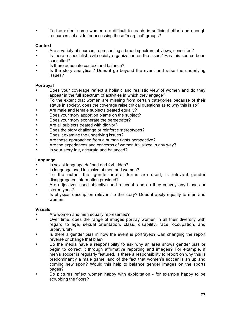• To the extent some women are difficult to reach, is sufficient effort and enough resources set aside for accessing these "marginal" groups?

## **Context**

- Are a variety of sources, representing a broad spectrum of views, consulted?
- Is there a specialist civil society organization on the issue? Has this source been consulted?
- Is there adequate context and balance?
- Is the story analytical? Does it go beyond the event and raise the underlying issues?

## **Portrayal**

- Does your coverage reflect a holistic and realistic view of women and do they appear in the full spectrum of activities in which they engage?
- To the extent that women are missing from certain categories because of their status in society, does the coverage raise critical questions as to why this is so?
- Are male and female subjects treated equally?
- Does your story apportion blame on the subject?
- Does your story exonerate the perpetrator?
- Are all subjects treated with dignity?
- Does the story challenge or reinforce stereotypes?
- Does it examine the underlying issues?
- Are these approached from a human rights perspective?
- Are the experiences and concerns of women trivialized in any way?
- Is your story fair, accurate and balanced?

## **Language**

- Is sexist language defined and forbidden?
- Is language used inclusive of men and women?<br>• To the extent that gender neutral terms
- To the extent that gender-neutral terms are used, is relevant gender disaggregated information provided?
- Are adjectives used objective and relevant, and do they convey any biases or stereotypes?
- Is physical description relevant to the story? Does it apply equally to men and women.

#### **Visuals**

- Are women and men equally represented?
- Over time, does the range of images portray women in all their diversity with regard to age, sexual orientation, class, disability, race, occupation, and urban/rural?
- Is there a gender bias in how the event is portrayed? Can changing the report reverse or change that bias?
- Do the media have a responsibility to ask why an area shows gender bias or begin to correct it through affirmative reporting and images? For example, if men's soccer is regularly featured, is there a responsibility to report on why this is predominantly a male game; and of the fact that women's soccer is an up and coming new sport? Would this help to balance gender images on the sports pages?
- Do pictures reflect women happy with exploitation for example happy to be scrubbing the floors?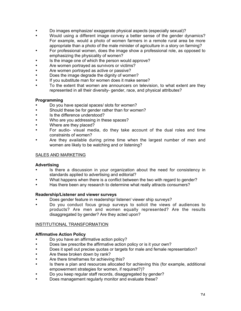- Do images emphasize/ exaggerate physical aspects (especially sexual)?
- Would using a different image convey a better sense of the gender dynamics? For example, would a photo of women farmers in a remote rural area be more appropriate than a photo of the male minister of agriculture in a story on farming?
- For professional women, does the image show a professional role, as opposed to emphasizing the physicality of women?
- Is the image one of which the person would approve?
- Are women portrayed as survivors or victims?
- Are women portrayed as active or passive?<br>• Does the image degrade the dignity of wome
- Does the image degrade the dignity of women?<br>• If you substitute man for women does it make se
- If you substitute man for women does it make sense?
- To the extent that women are announcers on television, to what extent are they represented in all their diversity- gender, race, and physical attributes?

#### **Programming**

- Do you have special spaces/ slots for women?
- Should these be for gender rather than for women?
- Is the difference understood?
- Who are you addressing in these spaces?
- Where are they placed?
- For audio- visual media, do they take account of the dual roles and time constraints of women?
- Are they available during prime time when the largest number of men and women are likely to be watching and or listening?

#### SALES AND MARKETING

#### **Advertising**

- Is there a discussion in your organization about the need for consistency in standards applied to advertising and editorial?
- What happens when there is a conflict between the two with regard to gender?
- Has there been any research to determine what really attracts consumers?

#### **Readership/Listener and viewer surveys**

- Does gender feature in readership/ listener/ viewer ship surveys?
- Do you conduct focus group surveys to solicit the views of audiences to products? Are men and women equally represented? Are the results disaggregated by gender? Are they acted upon?

#### INSTITUTIONAL TRANSFORMATION

#### **Affirmative Action Policy**

- Do you have an affirmative action policy?
- Does law prescribe the affirmative action policy or is it your own?
- Does it spell out precise quotas or targets for male and female representation?
- Are these broken down by rank?
- Are there timeframes for achieving this?
- Is there a plan and resources allocated for achieving this (for example, additional empowerment strategies for women, if required?)?
- Do you keep regular staff records, disaggregated by gender?
- Does management regularly monitor and evaluate these?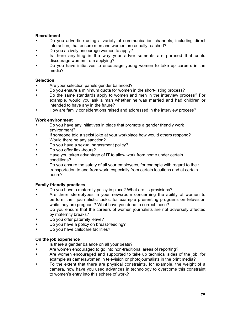## **Recruitment**

- Do you advertise using a variety of communication channels, including direct interaction, that ensure men and women are equally reached?
- Do you actively encourage women to apply?
- Is there anything in the way your advertisements are phrased that could discourage women from applying?
- Do you have initiatives to encourage young women to take up careers in the media?

# **Selection**

- Are your selection panels gender balanced?
- Do you ensure a minimum quota for women in the short-listing process?
- Do the same standards apply to women and men in the interview process? For example, would you ask a man whether he was married and had children or intended to have any in the future?
- How are family considerations raised and addressed in the interview process?

## **Work environment**

- Do you have any initiatives in place that promote a gender friendly work environment?
- If someone told a sexist joke at your workplace how would others respond? Would there be any sanction?
- Do you have a sexual harassment policy?
- Do you offer flexi-hours?
- Have you taken advantage of IT to allow work from home under certain conditions?
- Do you ensure the safety of all your employees, for example with regard to their transportation to and from work, especially from certain locations and at certain hours?

# **Family friendly practices**

- Do you have a maternity policy in place? What are its provisions?
- Are there stereotypes in your newsroom concerning the ability of women to perform their journalistic tasks, for example presenting programs on television while they are pregnant? What have you done to correct these?
- Do you ensure that the careers of women journalists are not adversely affected by maternity breaks?
- Do you offer paternity leave?
- Do you have a policy on breast-feeding?
- Do you have childcare facilities?

## **On the job experience**

- Is there a gender balance on all your beats?
- Are women encouraged to go into non-traditional areas of reporting?
- Are women encouraged and supported to take up technical sides of the job, for example as camerawomen in television or photojournalists in the print media?
- To the extent that there are physical constraints, for example, the weight of a camera, how have you used advances in technology to overcome this constraint to women's entry into this sphere of work?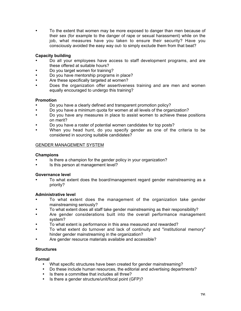• To the extent that women may be more exposed to danger than men because of their sex (for example to the danger of rape or sexual harassment) while on the job, what measures have you taken to ensure their security? Have you consciously avoided the easy way out- to simply exclude them from that beat?

# **Capacity building**

- Do all your employees have access to staff development programs, and are these offered at suitable hours?
- Do you target women for training?
- Do you have mentorship programs in place?<br>• Are these specifically targeted at women?
- Are these specifically targeted at women?
- Does the organization offer assertiveness training and are men and women equally encouraged to undergo this training?

## **Promotion**

- Do you have a clearly defined and transparent promotion policy?
- Do you have a minimum quota for women at all levels of the organization?
- Do you have any measures in place to assist women to achieve these positions on merit?
- Do you have a roster of potential women candidates for top posts?
- When you head hunt, do you specify gender as one of the criteria to be considered in sourcing suitable candidates?

# GENDER MANAGEMENT SYSTEM

## **Champions**

- Is there a champion for the gender policy in your organization?
- Is this person at management level?

## **Governance level**

• To what extent does the board/management regard gender mainstreaming as a priority?

## **Administrative level**

- To what extent does the management of the organization take gender mainstreaming seriously?
- To what extent does all staff take gender mainstreaming as their responsibility?
- Are gender considerations built into the overall performance management system?
- To what extent is performance in this area measured and rewarded?
- To what extent do turnover and lack of continuity and "institutional memory" hinder gender mainstreaming in the organization?
- Are gender resource materials available and accessible?

## **Structures**

## **Formal**

- What specific structures have been created for gender mainstreaming?
- Do these include human resources, the editorial and advertising departments?
- Is there a committee that includes all three?
- Is there a gender structure/unit/focal point (GFP)?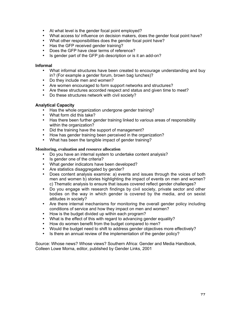- At what level is the gender focal point employed?
- What access to/ influence on decision makers, does the gender focal point have?
- What other responsibilities does the gender focal point have?
- Has the GFP received gender training?
- Does the GFP have clear terms of reference?
- Is gender part of the GFP job description or is it an add-on?

#### **Informal**

- What informal structures have been created to encourage understanding and buy in? (For example a gender forum, brown bag lunches)?
- Do they include men and women?
- Are women encouraged to form support networks and structures?
- Are these structures accorded respect and status and given time to meet?
- Do these structures network with civil society?

#### **Analytical Capacity**

- Has the whole organization undergone gender training?
- What form did this take?
- Has there been further gender training linked to various areas of responsibility within the organization?
- Did the training have the support of management?
- How has gender training been perceived in the organization?
- What has been the tangible impact of gender training?

#### **Monitoring, evaluation and resource allocation**

- Do you have an internal system to undertake content analysis?
- Is gender one of the criteria?
- What gender indicators have been developed?
- Are statistics disaggregated by gender?
- Does content analysis examine: a) events and issues through the voices of both men and women b) stories highlighting the impact of events on men and women? c) Thematic analysis to ensure that issues covered reflect gender challenges?
- Do you engage with research findings by civil society, private sector and other bodies on the way in which gender is covered by the media, and on sexist attitudes in society?
- Are there internal mechanisms for monitoring the overall gender policy including conditions of service and how they impact on men and women?
- How is the budget divided up within each program?
- What is the effect of this with regard to advancing gender equality?
- How do women benefit from the budget compared to men?
- Would the budget need to shift to address gender objectives more effectively?
- Is there an annual review of the implementation of the gender policy?

Source: Whose news? Whose views? Southern Africa: Gender and Media Handbook, Colleen Lowe Morna, editor, published by Gender Links, 2001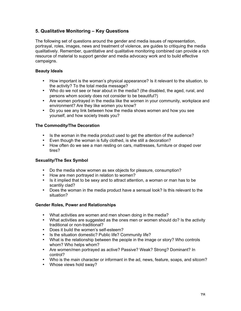# **5. Qualitative Monitoring – Key Questions**

The following set of questions around the gender and media issues of representation, portrayal, roles, images, news and treatment of violence, are guides to critiquing the media qualitatively. Remember, quantitative and qualitative monitoring combined can provide a rich resource of material to support gender and media advocacy work and to build effective campaigns.

# **Beauty Ideals**

- How important is the woman's physical appearance? Is it relevant to the situation, to the activity? To the total media message?
- Who do we not see or hear about in the media? (the disabled, the aged, rural, and persons whom society does not consider to be beautiful?)
- Are women portrayed in the media like the women in your community, workplace and environment? Are they like women you know?
- Do you see any link between how the media shows women and how you see yourself, and how society treats you?

# **The Commodity/The Decoration**

- Is the woman in the media product used to get the attention of the audience?
- Even though the woman is fully clothed, is she still a decoration?
- How often do we see a man resting on cars, mattresses, furniture or draped over tires?

## **Sexuality/The Sex Symbol**

- Do the media show women as sex objects for pleasure, consumption?
- How are men portrayed in relation to women?
- Is it implied that to be sexy and to attract attention, a woman or man has to be scantily clad?
- Does the woman in the media product have a sensual look? Is this relevant to the situation?

## **Gender Roles, Power and Relationships**

- What activities are women and men shown doing in the media?
- What activities are suggested as the ones men or women should do? Is the activity traditional or non-traditional?
- Does it build the women's self-esteem?
- Is the situation domestic? Public life? Community life?
- What is the relationship between the people in the image or story? Who controls whom? Who helps whom?
- Are women/men portrayed as active? Passive? Weak? Strong? Dominant? In control?
- Who is the main character or informant in the ad, news, feature, soaps, and sitcom?
- Whose views hold sway?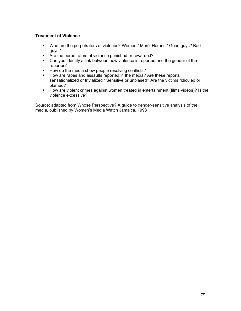# **Treatment of Violence**

- Who are the perpetrators of violence? Women? Men? Heroes? Good guys? Bad guys?
- Are the perpetrators of violence punished or rewarded?
- Can you identify a link between how violence is reported and the gender of the reporter?
- How do the media show people resolving conflicts?
- How are rapes and assaults reported in the media? Are these reports sensationalized or trivialized? Sensitive or unbiased? Are the victims ridiculed or blamed?
- How are violent crimes against women treated in entertainment (films videos)? Is the violence excessive?

Source: adapted from Whose Perspective? A guide to gender-sensitive analysis of the media, published by Women's Media Watch Jamaica, 1998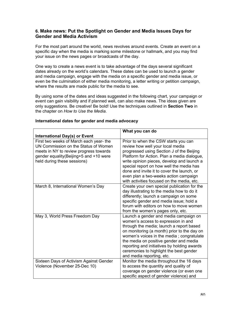# **6. Make news: Put the Spotlight on Gender and Media Issues Days for Gender and Media Activism**

For the most part around the world, news revolves around events. Create an event on a specific day when the media is marking some milestone or hallmark, and you may find your issue on the news pages or broadcasts of the day.

One way to create a news event is to take advantage of the days several significant dates already on the world's calendars. These dates can be used to launch a gender and media campaign, engage with the media on a specific gender and media issue, or even be the culmination of either media monitoring, a letter writing or petition campaign, where the results are made public for the media to see.

By using some of the dates and ideas suggested in the following chart, your campaign or event can gain visibility and if planned well, can also make news. The ideas given are only suggestions. Be creative! Be bold! Use the techniques outlined in **Section Two** in the chapter on *How to Use the Media*.

|                                                                                                                                                                                                    | What you can do                                                                                                                                                                                                                                                                                                                                                                                     |
|----------------------------------------------------------------------------------------------------------------------------------------------------------------------------------------------------|-----------------------------------------------------------------------------------------------------------------------------------------------------------------------------------------------------------------------------------------------------------------------------------------------------------------------------------------------------------------------------------------------------|
| <b>International Day(s) or Event</b>                                                                                                                                                               |                                                                                                                                                                                                                                                                                                                                                                                                     |
| First two weeks of March each year-the<br>UN Commission on the Status of Women<br>meets in NY to review progress towards<br>gender equality (Beijing+5 and +10 were<br>held during these sessions) | Prior to when the CSW starts you can<br>review how well your local media<br>progressed using Section J of the Beijing<br>Platform for Action. Plan a media dialogue,<br>write opinion pieces, develop and launch a<br>special report on how well the media has<br>done and invite it to cover the launch, or<br>even plan a two-weeks action campaign<br>with activities focused on the media, etc. |
| March 8, International Women's Day                                                                                                                                                                 | Create your own special publication for the<br>day illustrating to the media how to do it<br>differently; launch a campaign on some<br>specific gender and media issue; hold a<br>forum with editors on how to move women<br>from the women's pages only, etc.                                                                                                                                      |
| May 3, World Press Freedom Day                                                                                                                                                                     | Launch a gender and media campaign on<br>women's access to expression in and<br>through the media; launch a report based<br>on monitoring (a month) prior to the day on<br>women's voices in the media; congratulate<br>the media on positive gender and media<br>reporting and initiatives by holding awards<br>ceremonies to highlight the best gender<br>and media reporting, etc.               |
| Sixteen Days of Activism Against Gender<br>Violence (November 25-Dec 10)                                                                                                                           | Monitor the media throughout the 16 days<br>to access the quantity and quality of<br>coverage on gender violence (or even one<br>specific aspect of gender violence) and                                                                                                                                                                                                                            |

#### **International dates for gender and media advocacy**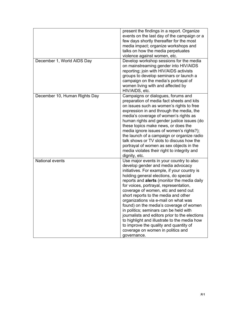|                               | present the findings in a report. Organize<br>events on the last day of the campaign or a<br>few days shortly thereafter for the most<br>media impact; organize workshops and<br>talks on how the media perpetuates<br>violence against women, etc.                                                                                                                                                                                                                                                                                                                                                                                                                         |
|-------------------------------|-----------------------------------------------------------------------------------------------------------------------------------------------------------------------------------------------------------------------------------------------------------------------------------------------------------------------------------------------------------------------------------------------------------------------------------------------------------------------------------------------------------------------------------------------------------------------------------------------------------------------------------------------------------------------------|
| December 1, World AIDS Day    | Develop workshop sessions for the media<br>on mainstreaming gender into HIV/AIDS<br>reporting; join with HIV/AIDS activists<br>groups to develop seminars or launch a<br>campaign on the media's portrayal of<br>women living with and affected by<br>HIV/AIDS, etc.                                                                                                                                                                                                                                                                                                                                                                                                        |
| December 10, Human Rights Day | Campaigns or dialogues, forums and<br>preparation of media fact sheets and kits<br>on issues such as women's rights to free<br>expression in and through the media, the<br>media's coverage of women's rights as<br>human rights and gender justice issues (do<br>these topics make news, or does the<br>media ignore issues of women's rights?);<br>the launch of a campaign or organize radio<br>talk shows or TV slots to discuss how the<br>portrayal of women as sex objects in the<br>media violates their right to integrity and<br>dignity, etc.                                                                                                                    |
| National events               | Use major events in your country to also<br>develop gender and media advocacy<br>initiatives. For example, if your country is<br>holding general elections, do special<br>reports and alerts (monitor the media daily<br>for voices, portrayal, representation,<br>coverage of women, etc and send out<br>short reports to the media and other<br>organizations via e-mail on what was<br>found) on the media's coverage of women<br>in politics; seminars can be held with<br>journalists and editors prior to the elections<br>to highlight and illustrate to the media how<br>to improve the quality and quantity of<br>coverage on women in politics and<br>governance. |